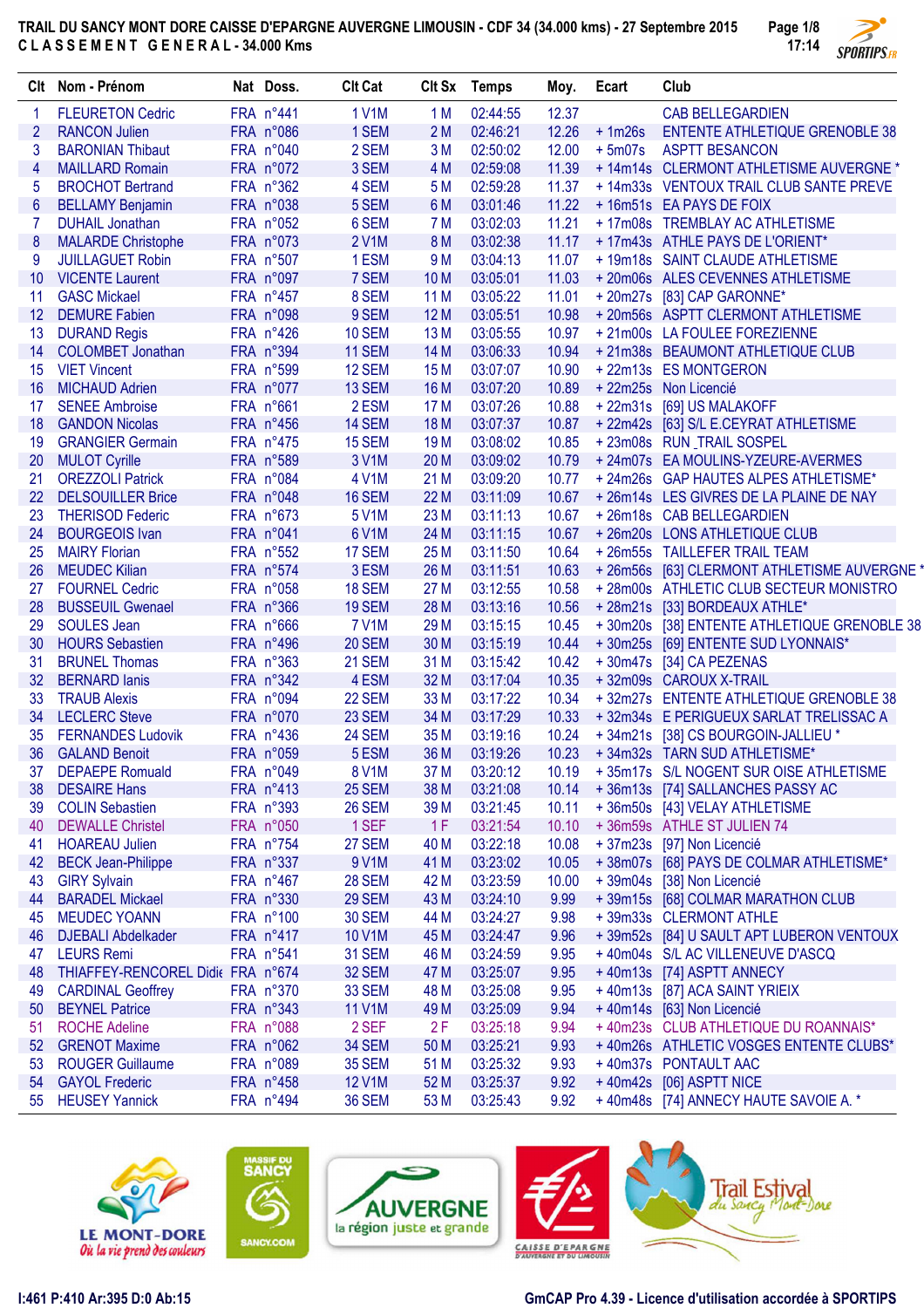

|                          | Clt Nom - Prénom                  | Nat Doss. | <b>Clt Cat</b> |                 | Clt Sx Temps | Moy.  | Ecart    | Club                                         |
|--------------------------|-----------------------------------|-----------|----------------|-----------------|--------------|-------|----------|----------------------------------------------|
| 1                        | <b>FLEURETON Cedric</b>           | FRA n°441 | <b>1 V1M</b>   | 1 M             | 02:44:55     | 12.37 |          | <b>CAB BELLEGARDIEN</b>                      |
| $\overline{2}$           | <b>RANCON Julien</b>              | FRA n°086 | 1 SEM          | 2M              | 02:46:21     | 12.26 | $+1m26s$ | <b>ENTENTE ATHLETIQUE GRENOBLE 38</b>        |
| 3                        | <b>BARONIAN Thibaut</b>           | FRA n°040 | 2 SEM          | 3M              | 02:50:02     | 12.00 | $+5m07s$ | <b>ASPTT BESANCON</b>                        |
| $\overline{\mathcal{A}}$ | <b>MAILLARD Romain</b>            | FRA n°072 | 3 SEM          | 4 M             | 02:59:08     | 11.39 |          | + 14m14s CLERMONT ATHLETISME AUVERGNE *      |
| 5                        | <b>BROCHOT Bertrand</b>           | FRA n°362 | 4 SEM          | 5 M             | 02:59:28     | 11.37 |          | + 14m33s VENTOUX TRAIL CLUB SANTE PREVE      |
| $6\phantom{1}6$          | <b>BELLAMY Benjamin</b>           | FRA n°038 | 5 SEM          | 6 M             | 03:01:46     | 11.22 |          | + 16m51s EA PAYS DE FOIX                     |
| 7                        | <b>DUHAIL Jonathan</b>            | FRA n°052 | 6 SEM          | 7 M             | 03:02:03     | 11.21 |          | + 17m08s TREMBLAY AC ATHLETISME              |
| 8                        | <b>MALARDE Christophe</b>         | FRA n°073 | 2 V1M          | <b>8M</b>       | 03:02:38     | 11.17 |          | + 17m43s ATHLE PAYS DE L'ORIENT*             |
| 9                        | <b>JUILLAGUET Robin</b>           | FRA n°507 | 1ESM           | 9 M             | 03:04:13     | 11.07 |          | + 19m18s SAINT CLAUDE ATHLETISME             |
| 10 <sup>°</sup>          | <b>VICENTE Laurent</b>            | FRA n°097 | 7 SEM          | 10 <sub>M</sub> | 03:05:01     | 11.03 |          | +20m06s ALES CEVENNES ATHLETISME             |
| 11                       | <b>GASC Mickael</b>               | FRA n°457 | 8 SEM          | 11 M            | 03:05:22     | 11.01 |          | +20m27s [83] CAP GARONNE*                    |
| 12                       | <b>DEMURE Fabien</b>              | FRA n°098 | 9 SEM          | 12 M            | 03:05:51     | 10.98 |          | +20m56s ASPTT CLERMONT ATHLETISME            |
| 13                       | <b>DURAND Regis</b>               | FRA n°426 | 10 SEM         | 13 M            | 03:05:55     | 10.97 |          | +21m00s LA FOULEE FOREZIENNE                 |
| 14                       | <b>COLOMBET Jonathan</b>          | FRA n°394 | 11 SEM         | 14 M            | 03:06:33     | 10.94 |          | +21m38s BEAUMONT ATHLETIQUE CLUB             |
| 15                       | <b>VIET Vincent</b>               | FRA n°599 | 12 SEM         | 15 M            | 03:07:07     | 10.90 |          | +22m13s ES MONTGERON                         |
| 16                       | <b>MICHAUD Adrien</b>             | FRA n°077 | 13 SEM         | 16 M            | 03:07:20     | 10.89 |          | + 22m25s Non Licencié                        |
| 17                       | <b>SENEE Ambroise</b>             | FRA n°661 | 2 ESM          | 17 M            | 03:07:26     | 10.88 |          | + 22m31s [69] US MALAKOFF                    |
| 18                       | <b>GANDON Nicolas</b>             | FRA n°456 | 14 SEM         | <b>18 M</b>     | 03:07:37     | 10.87 |          | + 22m42s [63] S/L E.CEYRAT ATHLETISME        |
| 19                       | <b>GRANGIER Germain</b>           | FRA n°475 | 15 SEM         | 19 <sub>M</sub> | 03:08:02     | 10.85 |          | +23m08s RUN_TRAIL SOSPEL                     |
| 20                       | <b>MULOT Cyrille</b>              | FRA n°589 | 3 V1M          | 20 M            | 03:09:02     | 10.79 |          | + 24m07s EA MOULINS-YZEURE-AVERMES           |
| 21                       | <b>OREZZOLI Patrick</b>           | FRA n°084 | 4 V1M          | 21 M            | 03:09:20     | 10.77 |          | + 24m26s GAP HAUTES ALPES ATHLETISME*        |
| 22                       | <b>DELSOUILLER Brice</b>          | FRA n°048 | 16 SEM         | 22 M            | 03:11:09     | 10.67 |          | +26m14s LES GIVRES DE LA PLAINE DE NAY       |
| 23                       | <b>THERISOD Federic</b>           | FRA n°673 | 5 V1M          | 23 M            | 03:11:13     | 10.67 |          | +26m18s CAB BELLEGARDIEN                     |
| 24                       | <b>BOURGEOIS Ivan</b>             | FRA n°041 | 6 V1M          | 24 M            | 03:11:15     | 10.67 |          | +26m20s LONS ATHLETIQUE CLUB                 |
| 25                       | <b>MAIRY Florian</b>              | FRA n°552 | 17 SEM         | 25 M            | 03:11:50     | 10.64 |          | +26m55s TAILLEFER TRAIL TEAM                 |
| 26                       | <b>MEUDEC Kilian</b>              | FRA n°574 | 3 ESM          | 26 M            | 03:11:51     | 10.63 |          | + 26m56s [63] CLERMONT ATHLETISME AUVERGNE * |
| 27                       | <b>FOURNEL Cedric</b>             | FRA n°058 | <b>18 SEM</b>  | 27 M            | 03:12:55     | 10.58 |          | + 28m00s ATHLETIC CLUB SECTEUR MONISTRO      |
| 28                       | <b>BUSSEUIL Gwenael</b>           | FRA n°366 | 19 SEM         | 28 M            | 03:13:16     | 10.56 |          | +28m21s [33] BORDEAUX ATHLE*                 |
| 29                       | <b>SOULES Jean</b>                | FRA n°666 | <b>7 V1M</b>   | 29 M            | 03:15:15     | 10.45 |          | +30m20s [38] ENTENTE ATHLETIQUE GRENOBLE 38  |
| 30                       | <b>HOURS Sebastien</b>            | FRA n°496 | <b>20 SEM</b>  | 30 M            | 03:15:19     | 10.44 |          | +30m25s [69] ENTENTE SUD LYONNAIS*           |
| 31                       | <b>BRUNEL Thomas</b>              | FRA n°363 | 21 SEM         | 31 M            | 03:15:42     | 10.42 |          | +30m47s [34] CA PEZENAS                      |
| 32                       | <b>BERNARD lanis</b>              | FRA n°342 | 4 ESM          | 32 M            | 03:17:04     | 10.35 |          | +32m09s CAROUX X-TRAIL                       |
| 33                       | <b>TRAUB Alexis</b>               | FRA n°094 | 22 SEM         | 33 M            | 03:17:22     | 10.34 |          | +32m27s ENTENTE ATHLETIQUE GRENOBLE 38       |
| 34                       | <b>LECLERC</b> Steve              | FRA n°070 | 23 SEM         | 34 M            | 03:17:29     | 10.33 |          | +32m34s E PERIGUEUX SARLAT TRELISSAC A       |
| 35                       | <b>FERNANDES Ludovik</b>          | FRA n°436 | 24 SEM         | 35 M            | 03:19:16     | 10.24 |          | +34m21s [38] CS BOURGOIN-JALLIEU *           |
| 36                       | <b>GALAND Benoit</b>              | FRA n°059 | 5 ESM          | 36 M            | 03:19:26     | 10.23 |          | +34m32s TARN SUD ATHLETISME*                 |
| 37                       | <b>DEPAEPE Romuald</b>            | FRA n°049 | 8 V1M          | 37 M            | 03:20:12     | 10.19 |          | +35m17s S/L NOGENT SUR OISE ATHLETISME       |
| 38                       | <b>DESAIRE Hans</b>               | FRA n°413 | 25 SEM         | 38 M            | 03:21:08     | 10.14 |          | +36m13s [74] SALLANCHES PASSY AC             |
| 39                       | <b>COLIN Sebastien</b>            | FRA n°393 | <b>26 SEM</b>  | 39 M            | 03:21:45     | 10.11 |          | +36m50s [43] VELAY ATHLETISME                |
| 40                       | <b>DEWALLE Christel</b>           | FRA n°050 | 1 SEF          | 1F              | 03:21:54     | 10.10 |          | +36m59s ATHLE ST JULIEN 74                   |
| 41                       | <b>HOAREAU Julien</b>             | FRA n°754 | <b>27 SEM</b>  | 40 M            | 03:22:18     | 10.08 |          | + 37m23s [97] Non Licencié                   |
| 42                       | <b>BECK Jean-Philippe</b>         | FRA n°337 | 9 V1M          | 41 M            | 03:23:02     | 10.05 |          | + 38m07s [68] PAYS DE COLMAR ATHLETISME*     |
| 43                       | <b>GIRY Sylvain</b>               | FRA n°467 | <b>28 SEM</b>  | 42 M            | 03:23:59     | 10.00 |          | + 39m04s [38] Non Licencié                   |
| 44                       | <b>BARADEL Mickael</b>            | FRA n°330 | <b>29 SEM</b>  | 43 M            | 03:24:10     | 9.99  |          | +39m15s [68] COLMAR MARATHON CLUB            |
| 45                       | <b>MEUDEC YOANN</b>               | FRA n°100 | <b>30 SEM</b>  | 44 M            | 03:24:27     | 9.98  |          | +39m33s CLERMONT ATHLE                       |
| 46                       | <b>DJEBALI Abdelkader</b>         | FRA n°417 | 10 V1M         | 45 M            | 03:24:47     | 9.96  |          | +39m52s [84] U SAULT APT LUBERON VENTOUX     |
| 47                       | <b>LEURS Remi</b>                 | FRA n°541 | <b>31 SEM</b>  | 46 M            | 03:24:59     | 9.95  |          | +40m04s S/L AC VILLENEUVE D'ASCQ             |
| 48                       | THIAFFEY-RENCOREL Didie FRA n°674 |           | <b>32 SEM</b>  | 47 M            | 03:25:07     | 9.95  |          | +40m13s [74] ASPTT ANNECY                    |
| 49                       | <b>CARDINAL Geoffrey</b>          | FRA n°370 | <b>33 SEM</b>  | 48 M            | 03:25:08     | 9.95  |          | +40m13s [87] ACA SAINT YRIEIX                |
| 50                       | <b>BEYNEL Patrice</b>             | FRA n°343 | 11 V1M         | 49 M            | 03:25:09     | 9.94  |          | + 40m14s [63] Non Licencié                   |
| 51                       | <b>ROCHE Adeline</b>              | FRA n°088 | 2 SEF          | 2F              | 03:25:18     | 9.94  |          | +40m23s CLUB ATHLETIQUE DU ROANNAIS*         |
| 52                       | <b>GRENOT Maxime</b>              | FRA n°062 | <b>34 SEM</b>  | 50 M            | 03:25:21     | 9.93  |          | +40m26s ATHLETIC VOSGES ENTENTE CLUBS*       |
| 53                       | <b>ROUGER Guillaume</b>           | FRA n°089 | <b>35 SEM</b>  | 51 M            | 03:25:32     | 9.93  |          | +40m37s PONTAULT AAC                         |
| 54                       | <b>GAYOL Frederic</b>             | FRA n°458 | <b>12 V1M</b>  | 52 M            | 03:25:37     | 9.92  |          | +40m42s [06] ASPTT NICE                      |
| 55                       | <b>HEUSEY Yannick</b>             | FRA n°494 | <b>36 SEM</b>  | 53 M            | 03:25:43     | 9.92  |          | + 40m48s [74] ANNECY HAUTE SAVOIE A. *       |
|                          |                                   |           |                |                 |              |       |          |                                              |









ore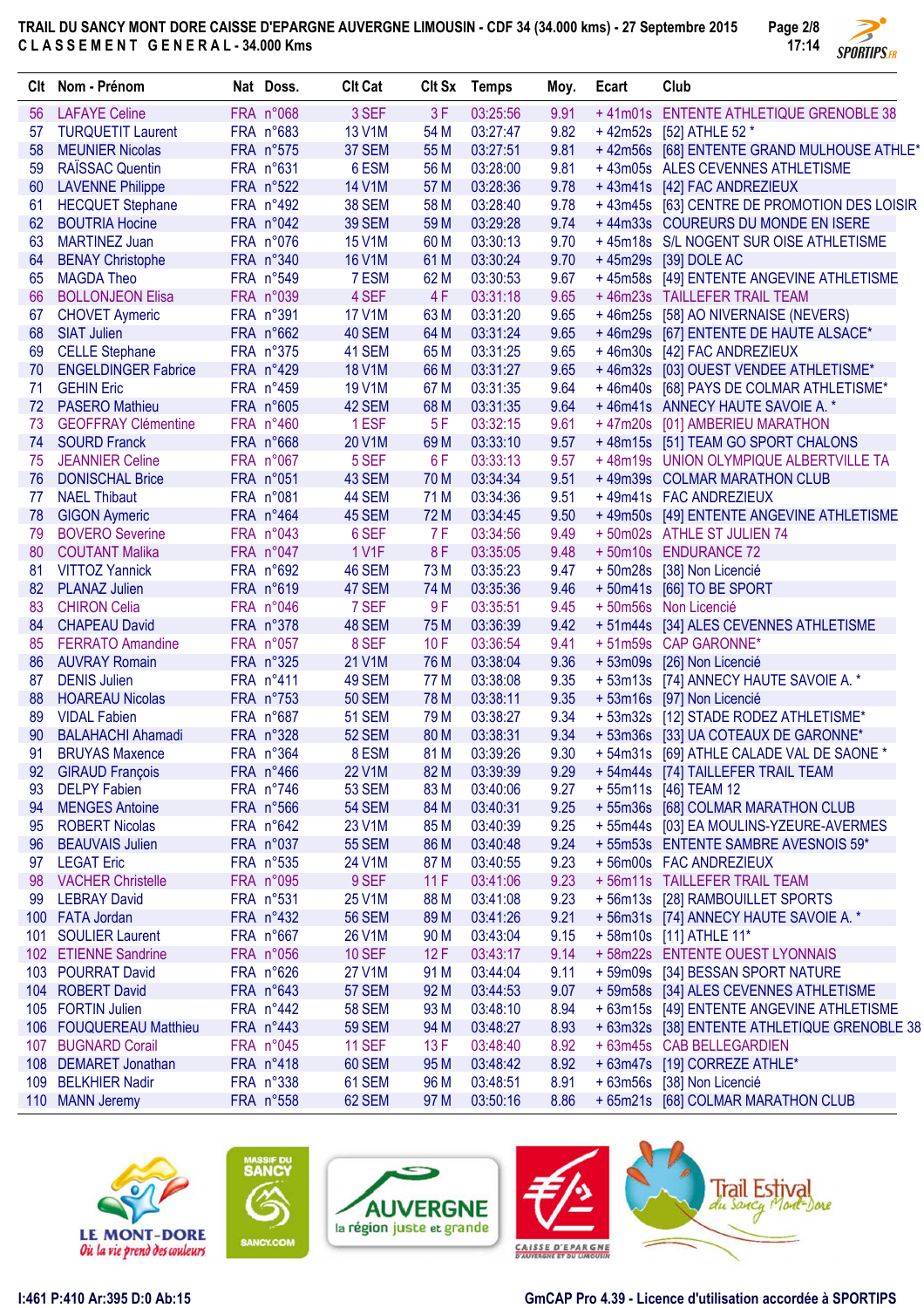

|     | Clt Nom - Prénom           | Nat Doss.              | <b>Clt Cat</b> |      | CIt Sx Temps | Moy. | Ecart | Club                                         |
|-----|----------------------------|------------------------|----------------|------|--------------|------|-------|----------------------------------------------|
| 56  | <b>LAFAYE Celine</b>       | FRA n°068              | 3 SEF          | 3F   | 03:25:56     | 9.91 |       | +41m01s ENTENTE ATHLETIQUE GRENOBLE 38       |
| 57  | <b>TURQUETIT Laurent</b>   | FRA n°683              | <b>13 V1M</b>  | 54 M | 03:27:47     | 9.82 |       | +42m52s [52] ATHLE 52 *                      |
| 58  | <b>MEUNIER Nicolas</b>     | FRA n°575              | 37 SEM         | 55 M | 03:27:51     | 9.81 |       | +42m56s [68] ENTENTE GRAND MULHOUSE ATHLE*   |
| 59  | RAÏSSAC Quentin            | FRA n°631              | 6 ESM          | 56 M | 03:28:00     | 9.81 |       | +43m05s ALES CEVENNES ATHLETISME             |
| 60  | <b>LAVENNE Philippe</b>    | FRA n°522              | 14 V1M         | 57 M | 03:28:36     | 9.78 |       | +43m41s [42] FAC ANDREZIEUX                  |
| 61  | <b>HECQUET Stephane</b>    | FRA n°492              | <b>38 SEM</b>  | 58 M | 03:28:40     | 9.78 |       | +43m45s [63] CENTRE DE PROMOTION DES LOISIR  |
| 62  | <b>BOUTRIA Hocine</b>      | FRA n°042              | <b>39 SEM</b>  | 59 M | 03:29:28     | 9.74 |       | +44m33s COUREURS DU MONDE EN ISERE           |
| 63  | <b>MARTINEZ Juan</b>       | FRA n°076              | <b>15 V1M</b>  | 60 M | 03:30:13     | 9.70 |       | +45m18s S/L NOGENT SUR OISE ATHLETISME       |
| 64  | <b>BENAY Christophe</b>    | FRA n°340              | <b>16 V1M</b>  | 61 M | 03:30:24     | 9.70 |       | +45m29s [39] DOLE AC                         |
| 65  | <b>MAGDA Theo</b>          | FRA n°549              | 7 ESM          | 62 M | 03:30:53     | 9.67 |       | +45m58s [49] ENTENTE ANGEVINE ATHLETISME     |
| 66  | <b>BOLLONJEON Elisa</b>    | FRA n°039              | 4 SEF          | 4F   | 03:31:18     | 9.65 |       | +46m23s TAILLEFER TRAIL TEAM                 |
| 67  | <b>CHOVET Aymeric</b>      | FRA n°391              | <b>17 V1M</b>  | 63 M | 03:31:20     | 9.65 |       | +46m25s [58] AO NIVERNAISE (NEVERS)          |
| 68  | <b>SIAT Julien</b>         | FRA n°662              | 40 SEM         | 64 M | 03:31:24     | 9.65 |       | +46m29s [67] ENTENTE DE HAUTE ALSACE*        |
| 69  | <b>CELLE Stephane</b>      | FRA n°375              | 41 SEM         | 65 M | 03:31:25     | 9.65 |       | +46m30s [42] FAC ANDREZIEUX                  |
| 70  | <b>ENGELDINGER Fabrice</b> | FRA n°429              | <b>18 V1M</b>  | 66 M | 03:31:27     | 9.65 |       | +46m32s [03] OUEST VENDEE ATHLETISME*        |
| 71  | <b>GEHIN Eric</b>          | FRA n°459              | 19 V1M         | 67 M | 03:31:35     | 9.64 |       | +46m40s [68] PAYS DE COLMAR ATHLETISME*      |
| 72  | <b>PASERO Mathieu</b>      | FRA n°605              | 42 SEM         | 68 M | 03:31:35     | 9.64 |       | +46m41s ANNECY HAUTE SAVOIE A. *             |
| 73  | <b>GEOFFRAY Clémentine</b> | FRA n°460              | 1 ESF          | 5F   | 03:32:15     | 9.61 |       | +47m20s [01] AMBERIEU MARATHON               |
| 74  | <b>SOURD Franck</b>        | FRA n°668              | 20 V1M         | 69 M | 03:33:10     | 9.57 |       | +48m15s [51] TEAM GO SPORT CHALONS           |
| 75  | <b>JEANNIER Celine</b>     | FRA n°067              | 5 SEF          | 6F   | 03:33:13     | 9.57 |       | +48m19s UNION OLYMPIQUE ALBERTVILLE TA       |
| 76  | <b>DONISCHAL Brice</b>     | FRA n°051              | 43 SEM         | 70 M | 03:34:34     | 9.51 |       | +49m39s COLMAR MARATHON CLUB                 |
| 77  | <b>NAEL Thibaut</b>        | FRA n°081              | 44 SEM         | 71 M | 03:34:36     | 9.51 |       | +49m41s FAC ANDREZIEUX                       |
| 78  | <b>GIGON Aymeric</b>       | FRA n°464              | 45 SEM         | 72 M | 03:34:45     | 9.50 |       | +49m50s [49] ENTENTE ANGEVINE ATHLETISME     |
| 79. | <b>BOVERO</b> Severine     | FRA n°043              | 6 SEF          | 7 F  | 03:34:56     | 9.49 |       | +50m02s ATHLE ST JULIEN 74                   |
| 80  | <b>COUTANT Malika</b>      | FRA n°047              | 1 V1F          | 8F   | 03:35:05     | 9.48 |       | +50m10s ENDURANCE 72                         |
| 81  | <b>VITTOZ Yannick</b>      | FRA n°692              | 46 SEM         | 73 M | 03:35:23     | 9.47 |       | + 50m28s [38] Non Licencié                   |
| 82  | <b>PLANAZ Julien</b>       | FRA n°619              | 47 SEM         | 74 M | 03:35:36     | 9.46 |       | +50m41s [66] TO BE SPORT                     |
| 83  | <b>CHIRON Celia</b>        | FRA n°046              | 7 SEF          | 9F   | 03:35:51     | 9.45 |       | + 50m56s Non Licencié                        |
| 84  | <b>CHAPEAU David</b>       | FRA n°378              | 48 SEM         | 75 M | 03:36:39     | 9.42 |       | +51m44s [34] ALES CEVENNES ATHLETISME        |
| 85  | <b>FERRATO Amandine</b>    | FRA n°057              | 8 SEF          | 10F  | 03:36:54     | 9.41 |       | +51m59s CAP GARONNE*                         |
| 86  | <b>AUVRAY Romain</b>       | FRA n°325              | 21 V1M         | 76 M | 03:38:04     | 9.36 |       | + 53m09s [26] Non Licencié                   |
| 87  | <b>DENIS Julien</b>        | FRA n <sup>°</sup> 411 | 49 SEM         | 77 M | 03:38:08     | 9.35 |       | +53m13s [74] ANNECY HAUTE SAVOIE A. *        |
| 88  | <b>HOAREAU Nicolas</b>     | FRA n°753              | <b>50 SEM</b>  | 78 M | 03:38:11     | 9.35 |       | + 53m16s [97] Non Licencié                   |
| 89  | <b>VIDAL Fabien</b>        | FRA n°687              | <b>51 SEM</b>  | 79 M | 03:38:27     | 9.34 |       | +53m32s [12] STADE RODEZ ATHLETISME*         |
| 90  | <b>BALAHACHI Ahamadi</b>   | FRA n°328              | <b>52 SEM</b>  | 80 M | 03:38:31     | 9.34 |       | +53m36s [33] UA COTEAUX DE GARONNE*          |
| 91  | <b>BRUYAS Maxence</b>      | FRA n°364              | 8 ESM          | 81 M | 03:39:26     | 9.30 |       | +54m31s [69] ATHLE CALADE VAL DE SAONE *     |
|     | 92 GIRAUD François         | FRA n°466              | <b>22 V1M</b>  | 82 M | 03:39:39     | 9.29 |       | +54m44s [74] TAILLEFER TRAIL TEAM            |
| 93  | <b>DELPY Fabien</b>        | FRA n°746              | <b>53 SEM</b>  | 83 M | 03:40:06     | 9.27 |       | + 55m11s [46] TEAM 12                        |
| 94  | <b>MENGES Antoine</b>      | FRA n°566              | <b>54 SEM</b>  | 84 M | 03:40:31     | 9.25 |       | +55m36s [68] COLMAR MARATHON CLUB            |
| 95  | <b>ROBERT Nicolas</b>      | FRA n°642              | 23 V1M         | 85 M | 03:40:39     | 9.25 |       | +55m44s [03] EA MOULINS-YZEURE-AVERMES       |
| 96  | <b>BEAUVAIS Julien</b>     | FRA n°037              | <b>55 SEM</b>  | 86 M | 03:40:48     | 9.24 |       | +55m53s ENTENTE SAMBRE AVESNOIS 59*          |
| 97  | <b>LEGAT Eric</b>          | FRA n°535              | 24 V1M         | 87 M | 03:40:55     | 9.23 |       | +56m00s FAC ANDREZIEUX                       |
| 98  | <b>VACHER Christelle</b>   | FRA n°095              | 9 SEF          | 11F  | 03:41:06     | 9.23 |       | +56m11s TAILLEFER TRAIL TEAM                 |
| 99. | <b>LEBRAY David</b>        | FRA n°531              | 25 V1M         | 88 M | 03:41:08     | 9.23 |       | +56m13s [28] RAMBOUILLET SPORTS              |
|     | 100 FATA Jordan            | $FRA n^0432$           | <b>56 SEM</b>  | 89 M | 03:41:26     | 9.21 |       | + 56m31s [74] ANNECY HAUTE SAVOIE A. *       |
|     | 101 SOULIER Laurent        | FRA n°667              | 26 V1M         | 90 M | 03:43:04     | 9.15 |       | +58m10s [11] ATHLE 11*                       |
|     | 102 ETIENNE Sandrine       | FRA n°056              | <b>10 SEF</b>  | 12F  | 03:43:17     | 9.14 |       | +58m22s ENTENTE OUEST LYONNAIS               |
|     | 103 POURRAT David          | FRA n°626              | 27 V1M         | 91 M | 03:44:04     | 9.11 |       | +59m09s [34] BESSAN SPORT NATURE             |
|     | 104 ROBERT David           | FRA n°643              | <b>57 SEM</b>  | 92 M | 03:44:53     | 9.07 |       | +59m58s [34] ALES CEVENNES ATHLETISME        |
|     | 105 FORTIN Julien          | $FRA n^442$            | <b>58 SEM</b>  | 93 M | 03:48:10     | 8.94 |       | + 63m15s [49] ENTENTE ANGEVINE ATHLETISME    |
|     | 106 FOUQUEREAU Matthieu    | $FRA n^0443$           | <b>59 SEM</b>  | 94 M | 03:48:27     | 8.93 |       | + 63m32s [38] ENTENTE ATHLETIQUE GRENOBLE 38 |
|     | 107 BUGNARD Corail         | FRA n°045              | <b>11 SEF</b>  | 13 F | 03:48:40     | 8.92 |       | + 63m45s CAB BELLEGARDIEN                    |
|     | 108 DEMARET Jonathan       | FRA n°418              | 60 SEM         | 95 M | 03:48:42     | 8.92 |       | + 63m47s [19] CORREZE ATHLE*                 |
|     | 109 BELKHIER Nadir         | FRA n°338              | 61 SEM         | 96 M | 03:48:51     | 8.91 |       | + 63m56s [38] Non Licencié                   |
|     | 110 MANN Jeremy            | FRA n°558              | 62 SEM         | 97 M | 03:50:16     | 8.86 |       | + 65m21s [68] COLMAR MARATHON CLUB           |
|     |                            |                        |                |      |              |      |       |                                              |









Н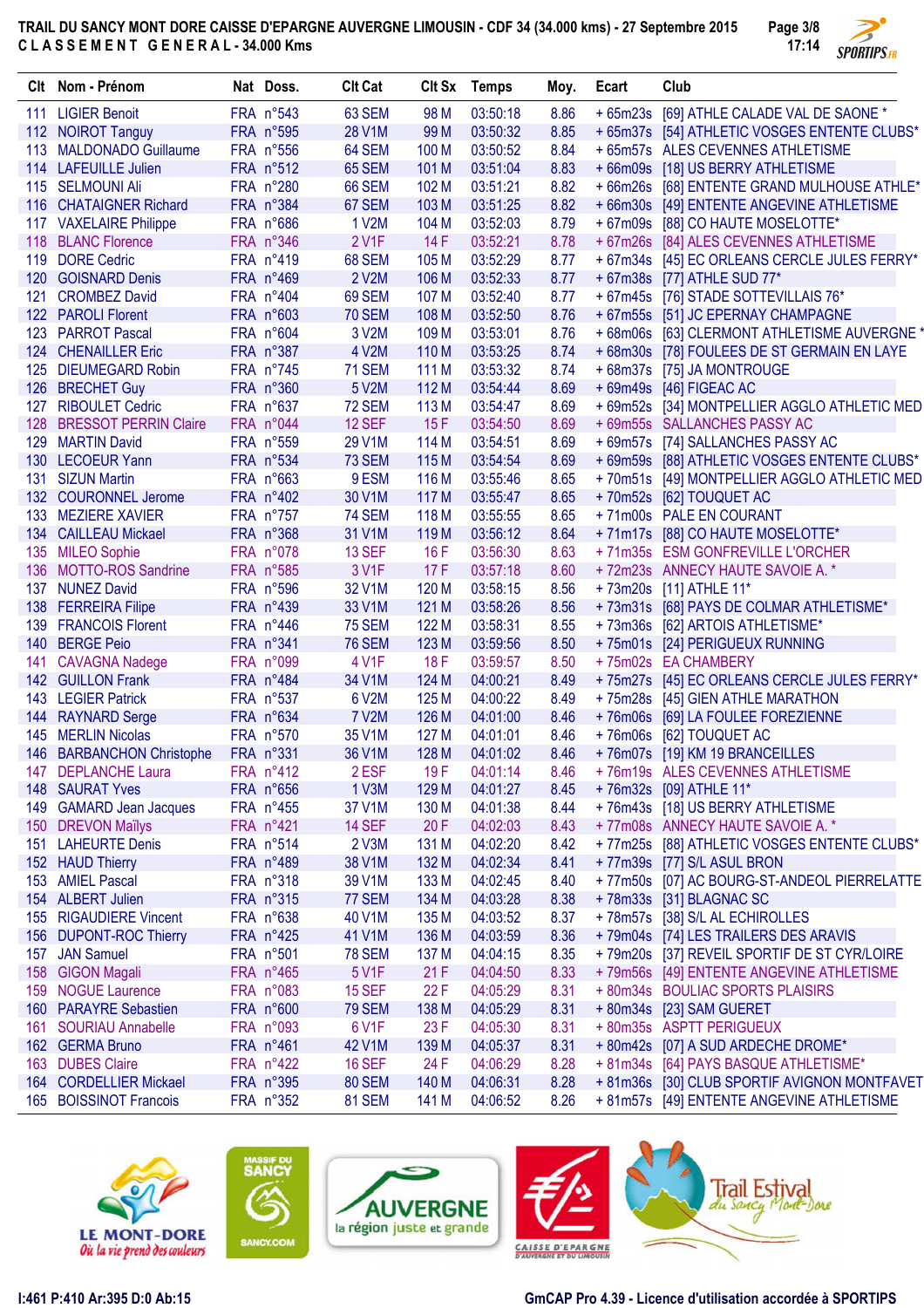

|     | Clt Nom - Prénom          | Nat Doss.          | <b>Clt Cat</b> |       | Clt Sx Temps | Moy. | Ecart | Club                                         |
|-----|---------------------------|--------------------|----------------|-------|--------------|------|-------|----------------------------------------------|
|     | 111 LIGIER Benoit         | FRA n°543          | 63 SEM         | 98 M  | 03:50:18     | 8.86 |       | + 65m23s [69] ATHLE CALADE VAL DE SAONE *    |
|     | 112 NOIROT Tanguy         | FRA n°595          | 28 V1M         | 99 M  | 03:50:32     | 8.85 |       | + 65m37s [54] ATHLETIC VOSGES ENTENTE CLUBS* |
|     | 113 MALDONADO Guillaume   | FRA n°556          | 64 SEM         | 100 M | 03:50:52     | 8.84 |       | + 65m57s ALES CEVENNES ATHLETISME            |
|     | 114 LAFEUILLE Julien      | FRA n°512          | <b>65 SEM</b>  | 101 M | 03:51:04     | 8.83 |       | + 66m09s [18] US BERRY ATHLETISME            |
|     | 115 SELMOUNI Ali          | FRA n°280          | <b>66 SEM</b>  | 102 M | 03:51:21     | 8.82 |       | + 66m26s [68] ENTENTE GRAND MULHOUSE ATHLE*  |
| 116 | <b>CHATAIGNER Richard</b> | FRA n°384          | 67 SEM         | 103 M | 03:51:25     | 8.82 |       | + 66m30s [49] ENTENTE ANGEVINE ATHLETISME    |
|     | 117 VAXELAIRE Philippe    | FRA n°686          | 1 V2M          | 104 M | 03:52:03     | 8.79 |       | + 67m09s [88] CO HAUTE MOSELOTTE*            |
|     | 118 BLANC Florence        | FRA n°346          | 2 V1F          | 14F   | 03:52:21     | 8.78 |       | + 67m26s [84] ALES CEVENNES ATHLETISME       |
|     | 119 DORE Cedric           | FRA n°419          | <b>68 SEM</b>  | 105 M | 03:52:29     | 8.77 |       | + 67m34s [45] EC ORLEANS CERCLE JULES FERRY* |
|     | 120 GOISNARD Denis        | FRA n°469          | 2 V2M          | 106 M | 03:52:33     | 8.77 |       | + 67m38s [77] ATHLE SUD 77*                  |
|     | 121 CROMBEZ David         | FRA n°404          | 69 SEM         | 107 M | 03:52:40     | 8.77 |       | + 67m45s [76] STADE SOTTEVILLAIS 76*         |
|     | 122 PAROLI Florent        | FRA n°603          | <b>70 SEM</b>  | 108 M | 03:52:50     | 8.76 |       | + 67m55s [51] JC EPERNAY CHAMPAGNE           |
|     | 123 PARROT Pascal         | FRA n°604          | 3 V2M          | 109 M | 03:53:01     | 8.76 |       | + 68m06s [63] CLERMONT ATHLETISME AUVERGNE * |
|     | 124 CHENAILLER Eric       | FRA n°387          | 4 V2M          | 110 M | 03:53:25     | 8.74 |       | + 68m30s [78] FOULEES DE ST GERMAIN EN LAYE  |
|     | 125 DIEUMEGARD Robin      | FRA n°745          | <b>71 SEM</b>  | 111 M | 03:53:32     | 8.74 |       | +68m37s [75] JA MONTROUGE                    |
|     | 126 BRECHET Guy           | FRA n°360          | 5 V2M          | 112M  | 03:54:44     | 8.69 |       | +69m49s [46] FIGEAC AC                       |
|     | 127 RIBOULET Cedric       | FRA n°637          | 72 SEM         | 113 M | 03:54:47     | 8.69 |       | + 69m52s [34] MONTPELLIER AGGLO ATHLETIC MED |
|     | 128 BRESSOT PERRIN Claire | FRA n°044          | <b>12 SEF</b>  | 15F   | 03:54:50     | 8.69 |       | + 69m55s SALLANCHES PASSY AC                 |
|     | 129 MARTIN David          | FRA n°559          | 29 V1M         | 114 M | 03:54:51     | 8.69 |       | + 69m57s [74] SALLANCHES PASSY AC            |
|     | 130 LECOEUR Yann          | FRA n°534          | <b>73 SEM</b>  | 115 M | 03:54:54     | 8.69 |       | + 69m59s [88] ATHLETIC VOSGES ENTENTE CLUBS* |
|     | 131 SIZUN Martin          | FRA n°663          | 9 ESM          | 116 M | 03:55:46     | 8.65 |       | +70m51s [49] MONTPELLIER AGGLO ATHLETIC MED  |
|     | 132 COURONNEL Jerome      | FRA n°402          | 30 V1M         | 117 M | 03:55:47     | 8.65 |       | +70m52s [62] TOUQUET AC                      |
|     | 133 MEZIERE XAVIER        | FRA n°757          | <b>74 SEM</b>  | 118 M | 03:55:55     | 8.65 |       | +71m00s PALE EN COURANT                      |
|     | 134 CAILLEAU Mickael      | FRA n°368          | 31 V1M         | 119 M | 03:56:12     | 8.64 |       | +71m17s [88] CO HAUTE MOSELOTTE*             |
|     | 135 MILEO Sophie          | FRA n°078          | <b>13 SEF</b>  | 16F   | 03:56:30     | 8.63 |       | +71m35s ESM GONFREVILLE L'ORCHER             |
|     | 136 MOTTO-ROS Sandrine    | FRA n°585          | 3 V1F          | 17F   | 03:57:18     | 8.60 |       | + 72m23s ANNECY HAUTE SAVOIE A. *            |
|     | 137 NUNEZ David           | FRA n°596          | 32 V1M         | 120 M | 03:58:15     | 8.56 |       | +73m20s [11] ATHLE 11*                       |
|     | 138 FERREIRA Filipe       | FRA n°439          | 33 V1M         | 121 M | 03:58:26     | 8.56 |       | +73m31s [68] PAYS DE COLMAR ATHLETISME*      |
|     | 139 FRANCOIS Florent      | FRA $n^{\circ}446$ | <b>75 SEM</b>  | 122 M | 03:58:31     | 8.55 |       | +73m36s [62] ARTOIS ATHLETISME*              |
| 140 | <b>BERGE Peio</b>         | FRA n°341          | <b>76 SEM</b>  | 123 M | 03:59:56     | 8.50 |       | +75m01s [24] PERIGUEUX RUNNING               |
|     | 141 CAVAGNA Nadege        | FRA n°099          | 4 V1F          | 18F   | 03:59:57     | 8.50 |       | +75m02s EA CHAMBERY                          |
|     | 142 GUILLON Frank         | FRA n°484          | 34 V1M         | 124 M | 04:00:21     | 8.49 |       | +75m27s [45] EC ORLEANS CERCLE JULES FERRY*  |
|     | 143 LEGIER Patrick        | FRA n°537          | 6 V2M          | 125 M | 04:00:22     | 8.49 |       | +75m28s [45] GIEN ATHLE MARATHON             |
|     | 144 RAYNARD Serge         | FRA n°634          | <b>7 V2M</b>   | 126 M | 04:01:00     | 8.46 |       | +76m06s [69] LA FOULEE FOREZIENNE            |
|     | 145 MERLIN Nicolas        | FRA n°570          | 35 V1M         | 127 M | 04:01:01     | 8.46 |       | +76m06s [62] TOUQUET AC                      |
|     | 146 BARBANCHON Christophe | FRA n°331          | 36 V1M         | 128 M | 04:01:02     | 8.46 |       | +76m07s [19] KM 19 BRANCEILLES               |
|     | 147 DEPLANCHE Laura       | FRA n°412          | 2 ESF          | 19F   | 04:01:14     | 8.46 |       | +76m19s ALES CEVENNES ATHLETISME             |
|     | 148 SAURAT Yves           | FRA n°656          | 1 V3M          | 129 M | 04:01:27     | 8.45 |       | +76m32s [09] ATHLE 11*                       |
|     | 149 GAMARD Jean Jacques   | FRA n°455          | 37 V1M         | 130 M | 04:01:38     | 8.44 |       | +76m43s [18] US BERRY ATHLETISME             |
|     | 150 DREVON Maïlys         | FRA n°421          | <b>14 SEF</b>  | 20 F  | 04:02:03     | 8.43 |       | + 77m08s ANNECY HAUTE SAVOIE A. *            |
|     | 151 LAHEURTE Denis        | FRA n°514          | 2 V3M          | 131 M | 04:02:20     | 8.42 |       | +77m25s [88] ATHLETIC VOSGES ENTENTE CLUBS*  |
|     | 152 HAUD Thierry          | FRA n°489          | 38 V1M         | 132 M | 04:02:34     | 8.41 |       | +77m39s [77] S/L ASUL BRON                   |
|     | 153 AMIEL Pascal          | FRA n°318          | 39 V1M         | 133 M | 04:02:45     | 8.40 |       | +77m50s [07] AC BOURG-ST-ANDEOL PIERRELATTE  |
|     | 154 ALBERT Julien         | FRA n°315          | 77 SEM         | 134 M | 04:03:28     | 8.38 |       | +78m33s [31] BLAGNAC SC                      |
|     | 155 RIGAUDIERE Vincent    | FRA n°638          | 40 V1M         | 135 M | 04:03:52     | 8.37 |       | +78m57s [38] S/L AL ECHIROLLES               |
|     | 156 DUPONT-ROC Thierry    | FRA $n^{\circ}425$ | 41 V1M         | 136 M | 04:03:59     | 8.36 |       | +79m04s [74] LES TRAILERS DES ARAVIS         |
|     | 157 JAN Samuel            | FRA n°501          | <b>78 SEM</b>  | 137 M | 04:04:15     | 8.35 |       | +79m20s [37] REVEIL SPORTIF DE ST CYR/LOIRE  |
|     | 158 GIGON Magali          | FRA n°465          | 5 V1F          | 21F   | 04:04:50     | 8.33 |       | +79m56s [49] ENTENTE ANGEVINE ATHLETISME     |
|     | 159 NOGUE Laurence        | FRA n°083          | <b>15 SEF</b>  | 22F   | 04:05:29     | 8.31 |       | +80m34s BOULIAC SPORTS PLAISIRS              |
|     | 160 PARAYRE Sebastien     | FRA n°600          | <b>79 SEM</b>  | 138 M | 04:05:29     | 8.31 |       | +80m34s [23] SAM GUERET                      |
| 161 | <b>SOURIAU Annabelle</b>  | FRA n°093          | 6 V1F          | 23 F  | 04:05:30     | 8.31 |       | +80m35s ASPTT PERIGUEUX                      |
|     | 162 GERMA Bruno           | FRA n°461          | 42 V1M         | 139 M | 04:05:37     | 8.31 |       | +80m42s [07] A SUD ARDECHE DROME*            |
|     | 163 DUBES Claire          | $FRA n^422$        | <b>16 SEF</b>  | 24 F  | 04:06:29     | 8.28 |       | + 81m34s [64] PAYS BASQUE ATHLETISME*        |
|     | 164 CORDELLIER Mickael    | FRA n°395          | <b>80 SEM</b>  | 140 M | 04:06:31     | 8.28 |       | +81m36s [30] CLUB SPORTIF AVIGNON MONTFAVET  |
|     | 165 BOISSINOT Francois    | FRA n°352          | <b>81 SEM</b>  | 141 M | 04:06:52     | 8.26 |       | + 81m57s [49] ENTENTE ANGEVINE ATHLETISME    |
|     |                           |                    |                |       |              |      |       |                                              |











**I:461 P:410 Ar:395 D:0 Ab:15 GmCAP Pro 4.39 - Licence d'utilisation accordée à SPORTIPS**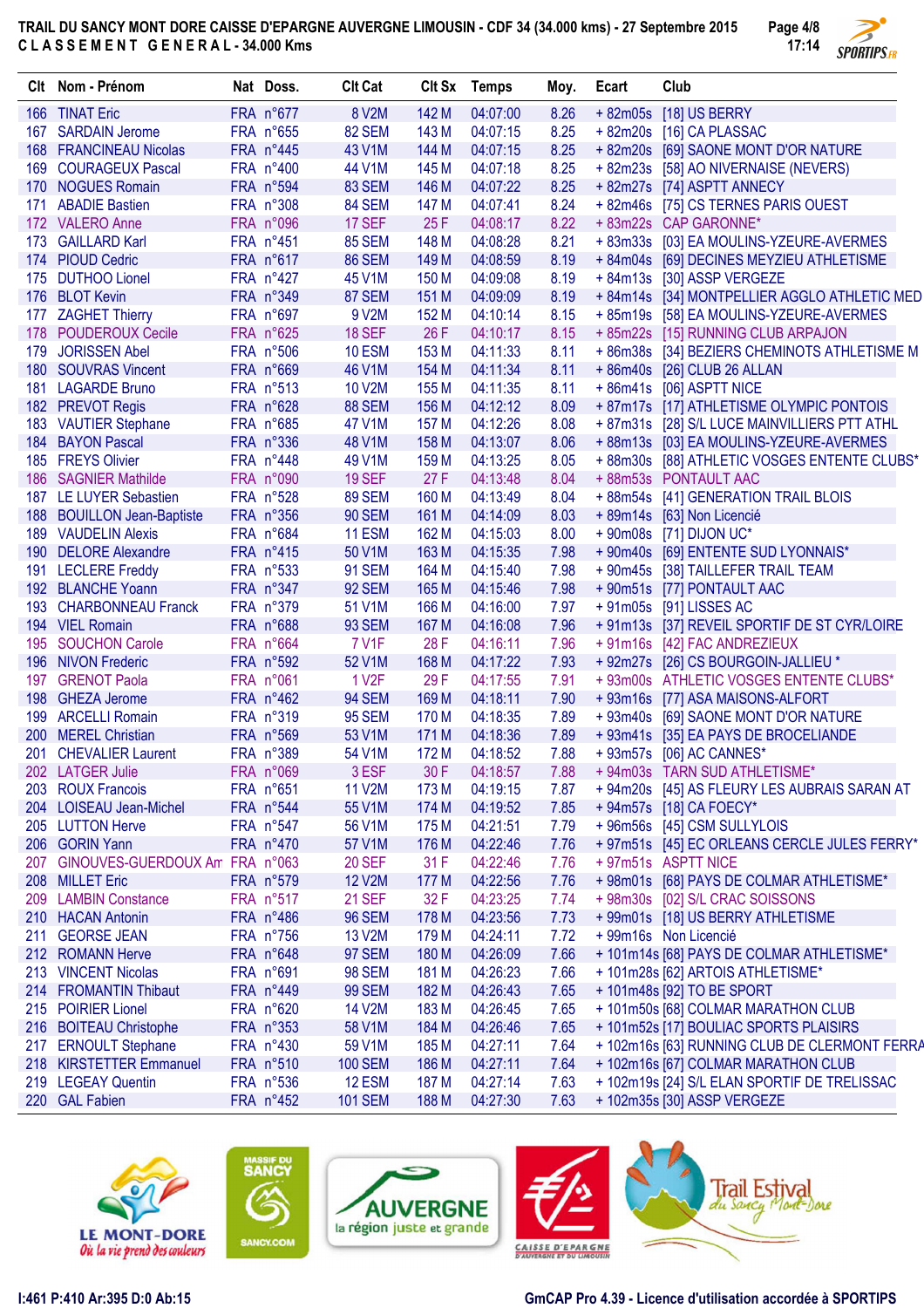

| 166 TINAT Eric<br>FRA n°677<br>8 V2M<br>142 M<br>04:07:00<br>8.26<br>+ 82m05s [18] US BERRY<br>167 SARDAIN Jerome<br>FRA n°655<br><b>82 SEM</b><br>143 M<br>04:07:15<br>8.25<br>+82m20s [16] CA PLASSAC<br>144 M<br>8.25<br>168 FRANCINEAU Nicolas<br>FRA n°445<br>43 V1M<br>04:07:15<br>+ 82m20s [69] SAONE MONT D'OR NATURE<br>8.25<br>169 COURAGEUX Pascal<br>FRA n°400<br>44 V1M<br>145 M<br>04:07:18<br>+82m23s [58] AO NIVERNAISE (NEVERS)<br>146 M<br>8.25<br>170 NOGUES Romain<br>FRA n°594<br><b>83 SEM</b><br>04:07:22<br>+ 82m27s [74] ASPTT ANNECY<br>147 M<br>8.24<br>+82m46s [75] CS TERNES PARIS OUEST<br>171 ABADIE Bastien<br>FRA n°308<br><b>84 SEM</b><br>04:07:41<br>25F<br>8.22<br>172 VALERO Anne<br>FRA n°096<br><b>17 SEF</b><br>04:08:17<br>+ 83m22s CAP GARONNE*<br><b>85 SEM</b><br>148 M<br>04:08:28<br>8.21<br>173 GAILLARD Karl<br>FRA n°451<br>+83m33s [03] EA MOULINS-YZEURE-AVERMES<br>149 M<br>174 PIOUD Cedric<br>FRA n°617<br><b>86 SEM</b><br>04:08:59<br>8.19<br>+84m04s [69] DECINES MEYZIEU ATHLETISME<br>45 V1M<br>150 M<br>8.19<br>+ 84m13s [30] ASSP VERGEZE<br>175 DUTHOO Lionel<br>$FRA n^427$<br>04:09:08<br>151 M<br>8.19<br>176 BLOT Kevin<br>FRA n°349<br>87 SEM<br>04:09:09<br>+84m14s [34] MONTPELLIER AGGLO ATHLETIC MED<br>152 M<br>8.15<br>177 ZAGHET Thierry<br>FRA n°697<br>9 V2M<br>04:10:14<br>+85m19s [58] EA MOULINS-YZEURE-AVERMES<br>26 F<br><b>18 SEF</b><br>8.15<br>178 POUDEROUX Cecile<br>FRA n°625<br>04:10:17<br>+85m22s [15] RUNNING CLUB ARPAJON<br>FRA n°506<br>153 M<br>8.11<br>179 JORISSEN Abel<br><b>10 ESM</b><br>04:11:33<br>+ 86m38s [34] BEZIERS CHEMINOTS ATHLETISME M<br>46 V1M<br>154 M<br>8.11<br>180 SOUVRAS Vincent<br>FRA n°669<br>04:11:34<br>+86m40s [26] CLUB 26 ALLAN<br><b>10 V2M</b><br>155 M<br>8.11<br>181 LAGARDE Bruno<br>FRA n°513<br>04:11:35<br>+86m41s [06] ASPTT NICE<br>182 PREVOT Regis<br>FRA n°628<br>156 M<br>8.09<br><b>88 SEM</b><br>04:12:12<br>+87m17s [17] ATHLETISME OLYMPIC PONTOIS<br>157 M<br>8.08<br>183 VAUTIER Stephane<br>FRA n°685<br>47 V1M<br>04:12:26<br>+ 87m31s [28] S/L LUCE MAINVILLIERS PTT ATHL<br>FRA n°336<br>158 M<br>8.06<br>184 BAYON Pascal<br>48 V1M<br>04:13:07<br>+88m13s [03] EA MOULINS-YZEURE-AVERMES<br>185 FREYS Olivier<br>8.05<br>FRA n°448<br>49 V1M<br>159 M<br>04:13:25<br>+88m30s [88] ATHLETIC VOSGES ENTENTE CLUBS*<br><b>19 SEF</b><br>27F<br>8.04<br>186<br><b>SAGNIER Mathilde</b><br>FRA n°090<br>04:13:48<br>+ 88m53s PONTAULT AAC<br><b>89 SEM</b><br>187 LE LUYER Sebastien<br>FRA n°528<br>160 M<br>04:13:49<br>8.04<br>+ 88m54s [41] GENERATION TRAIL BLOIS<br><b>90 SEM</b><br>161 M<br>188 BOUILLON Jean-Baptiste<br>FRA n°356<br>04:14:09<br>8.03<br>+ 89m14s [63] Non Licencié<br><b>11 ESM</b><br>162 M<br>189 VAUDELIN Alexis<br>FRA n°684<br>8.00<br>+ 90m08s [71] DIJON UC*<br>04:15:03<br>190 DELORE Alexandre<br>50 V1M<br>163 M<br>+ 90m40s [69] ENTENTE SUD LYONNAIS*<br>FRA n°415<br>7.98<br>04:15:35<br>7.98<br>191 LECLERE Freddy<br>FRA n°533<br><b>91 SEM</b><br>164 M<br>+ 90m45s [38] TAILLEFER TRAIL TEAM<br>04:15:40<br>192 BLANCHE Yoann<br>FRA n°347<br><b>92 SEM</b><br>165 M<br>7.98<br>+90m51s [77] PONTAULT AAC<br>04:15:46<br>193 CHARBONNEAU Franck<br>FRA n°379<br>51 V1M<br>166 M<br>7.97<br>+91m05s [91] LISSES AC<br>04:16:00<br>194 VIEL Romain<br>FRA n°688<br><b>93 SEM</b><br>167 M<br>7.96<br>+91m13s [37] REVEIL SPORTIF DE ST CYR/LOIRE<br>04:16:08<br>28 F<br>+91m16s [42] FAC ANDREZIEUX<br><b>SOUCHON Carole</b><br>FRA n°664<br>7 V1F<br>7.96<br>195<br>04:16:11<br>168 M<br>7.93<br>196 NIVON Frederic<br>FRA n°592<br>52 V1M<br>04:17:22<br>+ 92m27s [26] CS BOURGOIN-JALLIEU *<br>29 F<br>197<br><b>GRENOT Paola</b><br>FRA n°061<br>1 V <sub>2</sub> F<br>04:17:55<br>7.91<br>+ 93m00s ATHLETIC VOSGES ENTENTE CLUBS*<br>169 M<br>198<br><b>GHEZA Jerome</b><br>FRA n°462<br><b>94 SEM</b><br>04:18:11<br>7.90<br>+93m16s [77] ASA MAISONS-ALFORT<br>199 ARCELLI Romain<br>FRA n°319<br><b>95 SEM</b><br>170 M<br>7.89<br>04:18:35<br>+ 93m40s [69] SAONE MONT D'OR NATURE<br>200 MEREL Christian<br>FRA n°569<br>53 V1M<br>171 M<br>7.89<br>+ 93m41s [35] EA PAYS DE BROCELIANDE<br>04:18:36<br>FRA n°389<br>54 V1M<br>172 M<br>7.88<br>+ 93m57s [06] AC CANNES*<br>201<br><b>CHEVALIER Laurent</b><br>04:18:52<br>3 ESF<br>202 LATGER Julie<br>FRA n°069<br>30 F<br>04:18:57<br>7.88<br>+94m03s TARN SUD ATHLETISME*<br>203 ROUX Francois<br>FRA n°651<br><b>11 V2M</b><br>173 M<br>04:19:15<br>+94m20s [45] AS FLEURY LES AUBRAIS SARAN AT<br>7.87<br>55 V1M<br><b>LOISEAU Jean-Michel</b><br>FRA n°544<br>174 M<br>04:19:52<br>7.85<br>+ 94m57s [18] CA FOECY*<br><b>204</b><br>205 LUTTON Herve<br>FRA n°547<br>56 V1M<br>175 M<br>7.79<br>+ 96m56s [45] CSM SULLYLOIS<br>04:21:51<br>206 GORIN Yann<br>FRA n°470<br>57 V1M<br>176 M<br>04:22:46<br>7.76<br>+ 97m51s [45] EC ORLEANS CERCLE JULES FERRY*<br>207 GINOUVES-GUERDOUX Am FRA n°063<br><b>20 SEF</b><br>31F<br>04:22:46<br>7.76<br>+ 97m51s ASPTT NICE<br>208 MILLET Eric<br>FRA n°579<br><b>12 V2M</b><br>177 M<br>04:22:56<br>7.76<br>+ 98m01s [68] PAYS DE COLMAR ATHLETISME*<br><b>21 SEF</b><br>32 F<br>209 LAMBIN Constance<br>FRA n°517<br>04:23:25<br>7.74<br>+ 98m30s [02] S/L CRAC SOISSONS<br><b>96 SEM</b><br>210 HACAN Antonin<br>FRA n°486<br>178 M<br>04:23:56<br>7.73<br>+99m01s [18] US BERRY ATHLETISME<br>211 GEORSE JEAN<br>13 V2M<br>179 M<br>7.72<br>+ 99m16s Non Licencié<br>FRA n°756<br>04:24:11<br><b>97 SEM</b><br>212 ROMANN Herve<br>FRA n°648<br>180 M<br>04:26:09<br>7.66<br>+ 101m14s [68] PAYS DE COLMAR ATHLETISME*<br>213 VINCENT Nicolas<br>FRA n°691<br><b>98 SEM</b><br>181 M<br>7.66<br>04:26:23<br>+ 101m28s [62] ARTOIS ATHLETISME*<br>182 M<br>7.65<br>214 FROMANTIN Thibaut<br>FRA n°449<br><b>99 SEM</b><br>04:26:43<br>+ 101m48s [92] TO BE SPORT<br>215 POIRIER Lionel<br>FRA n°620<br>14 V2M<br>183 M<br>7.65<br>+ 101m50s [68] COLMAR MARATHON CLUB<br>04:26:45<br>216 BOITEAU Christophe<br>FRA n°353<br>58 V1M<br>184 M<br>7.65<br>+101m52s [17] BOULIAC SPORTS PLAISIRS<br>04:26:46<br><b>ERNOULT Stephane</b><br>FRA n°430<br>59 V1M<br>185 M<br>04:27:11<br>7.64<br>+ 102m16s [63] RUNNING CLUB DE CLERMONT FERRA<br>217<br>218 KIRSTETTER Emmanuel<br>FRA n°510<br><b>100 SEM</b><br>186 M<br>04:27:11<br>7.64<br>+ 102m16s [67] COLMAR MARATHON CLUB<br>219 LEGEAY Quentin<br><b>12 ESM</b><br>187 M<br>7.63<br>FRA n°536<br>04:27:14<br>+ 102m19s [24] S/L ELAN SPORTIF DE TRELISSAC | Clt Nom - Prénom | Nat Doss. | <b>Clt Cat</b> | Clt Sx Temps | Moy. | Ecart | Club |
|------------------------------------------------------------------------------------------------------------------------------------------------------------------------------------------------------------------------------------------------------------------------------------------------------------------------------------------------------------------------------------------------------------------------------------------------------------------------------------------------------------------------------------------------------------------------------------------------------------------------------------------------------------------------------------------------------------------------------------------------------------------------------------------------------------------------------------------------------------------------------------------------------------------------------------------------------------------------------------------------------------------------------------------------------------------------------------------------------------------------------------------------------------------------------------------------------------------------------------------------------------------------------------------------------------------------------------------------------------------------------------------------------------------------------------------------------------------------------------------------------------------------------------------------------------------------------------------------------------------------------------------------------------------------------------------------------------------------------------------------------------------------------------------------------------------------------------------------------------------------------------------------------------------------------------------------------------------------------------------------------------------------------------------------------------------------------------------------------------------------------------------------------------------------------------------------------------------------------------------------------------------------------------------------------------------------------------------------------------------------------------------------------------------------------------------------------------------------------------------------------------------------------------------------------------------------------------------------------------------------------------------------------------------------------------------------------------------------------------------------------------------------------------------------------------------------------------------------------------------------------------------------------------------------------------------------------------------------------------------------------------------------------------------------------------------------------------------------------------------------------------------------------------------------------------------------------------------------------------------------------------------------------------------------------------------------------------------------------------------------------------------------------------------------------------------------------------------------------------------------------------------------------------------------------------------------------------------------------------------------------------------------------------------------------------------------------------------------------------------------------------------------------------------------------------------------------------------------------------------------------------------------------------------------------------------------------------------------------------------------------------------------------------------------------------------------------------------------------------------------------------------------------------------------------------------------------------------------------------------------------------------------------------------------------------------------------------------------------------------------------------------------------------------------------------------------------------------------------------------------------------------------------------------------------------------------------------------------------------------------------------------------------------------------------------------------------------------------------------------------------------------------------------------------------------------------------------------------------------------------------------------------------------------------------------------------------------------------------------------------------------------------------------------------------------------------------------------------------------------------------------------------------------------------------------------------------------------------------------------------------------------------------------------------------------------------------------------------------------------------------------------------------------------------------------------------------------------------------------------------------------------------------------------------------------------------------------------------------------------------------------------------------------------------------------------------------------------------------------------------------------------------------------------------------------------------------------------------------------------------------------------------------------------------------------------------------------------------------------------------------------------------------------------------------------------------------------------------------------------------------------------------------------------------------------------------------------------------------------------------------------------------------------------------------------------------------------------------------------------------------------------------------------------------------------------------------------------------------------------------------------------------------|------------------|-----------|----------------|--------------|------|-------|------|
|                                                                                                                                                                                                                                                                                                                                                                                                                                                                                                                                                                                                                                                                                                                                                                                                                                                                                                                                                                                                                                                                                                                                                                                                                                                                                                                                                                                                                                                                                                                                                                                                                                                                                                                                                                                                                                                                                                                                                                                                                                                                                                                                                                                                                                                                                                                                                                                                                                                                                                                                                                                                                                                                                                                                                                                                                                                                                                                                                                                                                                                                                                                                                                                                                                                                                                                                                                                                                                                                                                                                                                                                                                                                                                                                                                                                                                                                                                                                                                                                                                                                                                                                                                                                                                                                                                                                                                                                                                                                                                                                                                                                                                                                                                                                                                                                                                                                                                                                                                                                                                                                                                                                                                                                                                                                                                                                                                                                                                                                                                                                                                                                                                                                                                                                                                                                                                                                                                                                                                                                                                                                                                                                                                                                                                                                                                                                                                                                                                                                                                                              |                  |           |                |              |      |       |      |
|                                                                                                                                                                                                                                                                                                                                                                                                                                                                                                                                                                                                                                                                                                                                                                                                                                                                                                                                                                                                                                                                                                                                                                                                                                                                                                                                                                                                                                                                                                                                                                                                                                                                                                                                                                                                                                                                                                                                                                                                                                                                                                                                                                                                                                                                                                                                                                                                                                                                                                                                                                                                                                                                                                                                                                                                                                                                                                                                                                                                                                                                                                                                                                                                                                                                                                                                                                                                                                                                                                                                                                                                                                                                                                                                                                                                                                                                                                                                                                                                                                                                                                                                                                                                                                                                                                                                                                                                                                                                                                                                                                                                                                                                                                                                                                                                                                                                                                                                                                                                                                                                                                                                                                                                                                                                                                                                                                                                                                                                                                                                                                                                                                                                                                                                                                                                                                                                                                                                                                                                                                                                                                                                                                                                                                                                                                                                                                                                                                                                                                                              |                  |           |                |              |      |       |      |
|                                                                                                                                                                                                                                                                                                                                                                                                                                                                                                                                                                                                                                                                                                                                                                                                                                                                                                                                                                                                                                                                                                                                                                                                                                                                                                                                                                                                                                                                                                                                                                                                                                                                                                                                                                                                                                                                                                                                                                                                                                                                                                                                                                                                                                                                                                                                                                                                                                                                                                                                                                                                                                                                                                                                                                                                                                                                                                                                                                                                                                                                                                                                                                                                                                                                                                                                                                                                                                                                                                                                                                                                                                                                                                                                                                                                                                                                                                                                                                                                                                                                                                                                                                                                                                                                                                                                                                                                                                                                                                                                                                                                                                                                                                                                                                                                                                                                                                                                                                                                                                                                                                                                                                                                                                                                                                                                                                                                                                                                                                                                                                                                                                                                                                                                                                                                                                                                                                                                                                                                                                                                                                                                                                                                                                                                                                                                                                                                                                                                                                                              |                  |           |                |              |      |       |      |
|                                                                                                                                                                                                                                                                                                                                                                                                                                                                                                                                                                                                                                                                                                                                                                                                                                                                                                                                                                                                                                                                                                                                                                                                                                                                                                                                                                                                                                                                                                                                                                                                                                                                                                                                                                                                                                                                                                                                                                                                                                                                                                                                                                                                                                                                                                                                                                                                                                                                                                                                                                                                                                                                                                                                                                                                                                                                                                                                                                                                                                                                                                                                                                                                                                                                                                                                                                                                                                                                                                                                                                                                                                                                                                                                                                                                                                                                                                                                                                                                                                                                                                                                                                                                                                                                                                                                                                                                                                                                                                                                                                                                                                                                                                                                                                                                                                                                                                                                                                                                                                                                                                                                                                                                                                                                                                                                                                                                                                                                                                                                                                                                                                                                                                                                                                                                                                                                                                                                                                                                                                                                                                                                                                                                                                                                                                                                                                                                                                                                                                                              |                  |           |                |              |      |       |      |
|                                                                                                                                                                                                                                                                                                                                                                                                                                                                                                                                                                                                                                                                                                                                                                                                                                                                                                                                                                                                                                                                                                                                                                                                                                                                                                                                                                                                                                                                                                                                                                                                                                                                                                                                                                                                                                                                                                                                                                                                                                                                                                                                                                                                                                                                                                                                                                                                                                                                                                                                                                                                                                                                                                                                                                                                                                                                                                                                                                                                                                                                                                                                                                                                                                                                                                                                                                                                                                                                                                                                                                                                                                                                                                                                                                                                                                                                                                                                                                                                                                                                                                                                                                                                                                                                                                                                                                                                                                                                                                                                                                                                                                                                                                                                                                                                                                                                                                                                                                                                                                                                                                                                                                                                                                                                                                                                                                                                                                                                                                                                                                                                                                                                                                                                                                                                                                                                                                                                                                                                                                                                                                                                                                                                                                                                                                                                                                                                                                                                                                                              |                  |           |                |              |      |       |      |
|                                                                                                                                                                                                                                                                                                                                                                                                                                                                                                                                                                                                                                                                                                                                                                                                                                                                                                                                                                                                                                                                                                                                                                                                                                                                                                                                                                                                                                                                                                                                                                                                                                                                                                                                                                                                                                                                                                                                                                                                                                                                                                                                                                                                                                                                                                                                                                                                                                                                                                                                                                                                                                                                                                                                                                                                                                                                                                                                                                                                                                                                                                                                                                                                                                                                                                                                                                                                                                                                                                                                                                                                                                                                                                                                                                                                                                                                                                                                                                                                                                                                                                                                                                                                                                                                                                                                                                                                                                                                                                                                                                                                                                                                                                                                                                                                                                                                                                                                                                                                                                                                                                                                                                                                                                                                                                                                                                                                                                                                                                                                                                                                                                                                                                                                                                                                                                                                                                                                                                                                                                                                                                                                                                                                                                                                                                                                                                                                                                                                                                                              |                  |           |                |              |      |       |      |
|                                                                                                                                                                                                                                                                                                                                                                                                                                                                                                                                                                                                                                                                                                                                                                                                                                                                                                                                                                                                                                                                                                                                                                                                                                                                                                                                                                                                                                                                                                                                                                                                                                                                                                                                                                                                                                                                                                                                                                                                                                                                                                                                                                                                                                                                                                                                                                                                                                                                                                                                                                                                                                                                                                                                                                                                                                                                                                                                                                                                                                                                                                                                                                                                                                                                                                                                                                                                                                                                                                                                                                                                                                                                                                                                                                                                                                                                                                                                                                                                                                                                                                                                                                                                                                                                                                                                                                                                                                                                                                                                                                                                                                                                                                                                                                                                                                                                                                                                                                                                                                                                                                                                                                                                                                                                                                                                                                                                                                                                                                                                                                                                                                                                                                                                                                                                                                                                                                                                                                                                                                                                                                                                                                                                                                                                                                                                                                                                                                                                                                                              |                  |           |                |              |      |       |      |
|                                                                                                                                                                                                                                                                                                                                                                                                                                                                                                                                                                                                                                                                                                                                                                                                                                                                                                                                                                                                                                                                                                                                                                                                                                                                                                                                                                                                                                                                                                                                                                                                                                                                                                                                                                                                                                                                                                                                                                                                                                                                                                                                                                                                                                                                                                                                                                                                                                                                                                                                                                                                                                                                                                                                                                                                                                                                                                                                                                                                                                                                                                                                                                                                                                                                                                                                                                                                                                                                                                                                                                                                                                                                                                                                                                                                                                                                                                                                                                                                                                                                                                                                                                                                                                                                                                                                                                                                                                                                                                                                                                                                                                                                                                                                                                                                                                                                                                                                                                                                                                                                                                                                                                                                                                                                                                                                                                                                                                                                                                                                                                                                                                                                                                                                                                                                                                                                                                                                                                                                                                                                                                                                                                                                                                                                                                                                                                                                                                                                                                                              |                  |           |                |              |      |       |      |
|                                                                                                                                                                                                                                                                                                                                                                                                                                                                                                                                                                                                                                                                                                                                                                                                                                                                                                                                                                                                                                                                                                                                                                                                                                                                                                                                                                                                                                                                                                                                                                                                                                                                                                                                                                                                                                                                                                                                                                                                                                                                                                                                                                                                                                                                                                                                                                                                                                                                                                                                                                                                                                                                                                                                                                                                                                                                                                                                                                                                                                                                                                                                                                                                                                                                                                                                                                                                                                                                                                                                                                                                                                                                                                                                                                                                                                                                                                                                                                                                                                                                                                                                                                                                                                                                                                                                                                                                                                                                                                                                                                                                                                                                                                                                                                                                                                                                                                                                                                                                                                                                                                                                                                                                                                                                                                                                                                                                                                                                                                                                                                                                                                                                                                                                                                                                                                                                                                                                                                                                                                                                                                                                                                                                                                                                                                                                                                                                                                                                                                                              |                  |           |                |              |      |       |      |
|                                                                                                                                                                                                                                                                                                                                                                                                                                                                                                                                                                                                                                                                                                                                                                                                                                                                                                                                                                                                                                                                                                                                                                                                                                                                                                                                                                                                                                                                                                                                                                                                                                                                                                                                                                                                                                                                                                                                                                                                                                                                                                                                                                                                                                                                                                                                                                                                                                                                                                                                                                                                                                                                                                                                                                                                                                                                                                                                                                                                                                                                                                                                                                                                                                                                                                                                                                                                                                                                                                                                                                                                                                                                                                                                                                                                                                                                                                                                                                                                                                                                                                                                                                                                                                                                                                                                                                                                                                                                                                                                                                                                                                                                                                                                                                                                                                                                                                                                                                                                                                                                                                                                                                                                                                                                                                                                                                                                                                                                                                                                                                                                                                                                                                                                                                                                                                                                                                                                                                                                                                                                                                                                                                                                                                                                                                                                                                                                                                                                                                                              |                  |           |                |              |      |       |      |
|                                                                                                                                                                                                                                                                                                                                                                                                                                                                                                                                                                                                                                                                                                                                                                                                                                                                                                                                                                                                                                                                                                                                                                                                                                                                                                                                                                                                                                                                                                                                                                                                                                                                                                                                                                                                                                                                                                                                                                                                                                                                                                                                                                                                                                                                                                                                                                                                                                                                                                                                                                                                                                                                                                                                                                                                                                                                                                                                                                                                                                                                                                                                                                                                                                                                                                                                                                                                                                                                                                                                                                                                                                                                                                                                                                                                                                                                                                                                                                                                                                                                                                                                                                                                                                                                                                                                                                                                                                                                                                                                                                                                                                                                                                                                                                                                                                                                                                                                                                                                                                                                                                                                                                                                                                                                                                                                                                                                                                                                                                                                                                                                                                                                                                                                                                                                                                                                                                                                                                                                                                                                                                                                                                                                                                                                                                                                                                                                                                                                                                                              |                  |           |                |              |      |       |      |
|                                                                                                                                                                                                                                                                                                                                                                                                                                                                                                                                                                                                                                                                                                                                                                                                                                                                                                                                                                                                                                                                                                                                                                                                                                                                                                                                                                                                                                                                                                                                                                                                                                                                                                                                                                                                                                                                                                                                                                                                                                                                                                                                                                                                                                                                                                                                                                                                                                                                                                                                                                                                                                                                                                                                                                                                                                                                                                                                                                                                                                                                                                                                                                                                                                                                                                                                                                                                                                                                                                                                                                                                                                                                                                                                                                                                                                                                                                                                                                                                                                                                                                                                                                                                                                                                                                                                                                                                                                                                                                                                                                                                                                                                                                                                                                                                                                                                                                                                                                                                                                                                                                                                                                                                                                                                                                                                                                                                                                                                                                                                                                                                                                                                                                                                                                                                                                                                                                                                                                                                                                                                                                                                                                                                                                                                                                                                                                                                                                                                                                                              |                  |           |                |              |      |       |      |
|                                                                                                                                                                                                                                                                                                                                                                                                                                                                                                                                                                                                                                                                                                                                                                                                                                                                                                                                                                                                                                                                                                                                                                                                                                                                                                                                                                                                                                                                                                                                                                                                                                                                                                                                                                                                                                                                                                                                                                                                                                                                                                                                                                                                                                                                                                                                                                                                                                                                                                                                                                                                                                                                                                                                                                                                                                                                                                                                                                                                                                                                                                                                                                                                                                                                                                                                                                                                                                                                                                                                                                                                                                                                                                                                                                                                                                                                                                                                                                                                                                                                                                                                                                                                                                                                                                                                                                                                                                                                                                                                                                                                                                                                                                                                                                                                                                                                                                                                                                                                                                                                                                                                                                                                                                                                                                                                                                                                                                                                                                                                                                                                                                                                                                                                                                                                                                                                                                                                                                                                                                                                                                                                                                                                                                                                                                                                                                                                                                                                                                                              |                  |           |                |              |      |       |      |
|                                                                                                                                                                                                                                                                                                                                                                                                                                                                                                                                                                                                                                                                                                                                                                                                                                                                                                                                                                                                                                                                                                                                                                                                                                                                                                                                                                                                                                                                                                                                                                                                                                                                                                                                                                                                                                                                                                                                                                                                                                                                                                                                                                                                                                                                                                                                                                                                                                                                                                                                                                                                                                                                                                                                                                                                                                                                                                                                                                                                                                                                                                                                                                                                                                                                                                                                                                                                                                                                                                                                                                                                                                                                                                                                                                                                                                                                                                                                                                                                                                                                                                                                                                                                                                                                                                                                                                                                                                                                                                                                                                                                                                                                                                                                                                                                                                                                                                                                                                                                                                                                                                                                                                                                                                                                                                                                                                                                                                                                                                                                                                                                                                                                                                                                                                                                                                                                                                                                                                                                                                                                                                                                                                                                                                                                                                                                                                                                                                                                                                                              |                  |           |                |              |      |       |      |
|                                                                                                                                                                                                                                                                                                                                                                                                                                                                                                                                                                                                                                                                                                                                                                                                                                                                                                                                                                                                                                                                                                                                                                                                                                                                                                                                                                                                                                                                                                                                                                                                                                                                                                                                                                                                                                                                                                                                                                                                                                                                                                                                                                                                                                                                                                                                                                                                                                                                                                                                                                                                                                                                                                                                                                                                                                                                                                                                                                                                                                                                                                                                                                                                                                                                                                                                                                                                                                                                                                                                                                                                                                                                                                                                                                                                                                                                                                                                                                                                                                                                                                                                                                                                                                                                                                                                                                                                                                                                                                                                                                                                                                                                                                                                                                                                                                                                                                                                                                                                                                                                                                                                                                                                                                                                                                                                                                                                                                                                                                                                                                                                                                                                                                                                                                                                                                                                                                                                                                                                                                                                                                                                                                                                                                                                                                                                                                                                                                                                                                                              |                  |           |                |              |      |       |      |
|                                                                                                                                                                                                                                                                                                                                                                                                                                                                                                                                                                                                                                                                                                                                                                                                                                                                                                                                                                                                                                                                                                                                                                                                                                                                                                                                                                                                                                                                                                                                                                                                                                                                                                                                                                                                                                                                                                                                                                                                                                                                                                                                                                                                                                                                                                                                                                                                                                                                                                                                                                                                                                                                                                                                                                                                                                                                                                                                                                                                                                                                                                                                                                                                                                                                                                                                                                                                                                                                                                                                                                                                                                                                                                                                                                                                                                                                                                                                                                                                                                                                                                                                                                                                                                                                                                                                                                                                                                                                                                                                                                                                                                                                                                                                                                                                                                                                                                                                                                                                                                                                                                                                                                                                                                                                                                                                                                                                                                                                                                                                                                                                                                                                                                                                                                                                                                                                                                                                                                                                                                                                                                                                                                                                                                                                                                                                                                                                                                                                                                                              |                  |           |                |              |      |       |      |
|                                                                                                                                                                                                                                                                                                                                                                                                                                                                                                                                                                                                                                                                                                                                                                                                                                                                                                                                                                                                                                                                                                                                                                                                                                                                                                                                                                                                                                                                                                                                                                                                                                                                                                                                                                                                                                                                                                                                                                                                                                                                                                                                                                                                                                                                                                                                                                                                                                                                                                                                                                                                                                                                                                                                                                                                                                                                                                                                                                                                                                                                                                                                                                                                                                                                                                                                                                                                                                                                                                                                                                                                                                                                                                                                                                                                                                                                                                                                                                                                                                                                                                                                                                                                                                                                                                                                                                                                                                                                                                                                                                                                                                                                                                                                                                                                                                                                                                                                                                                                                                                                                                                                                                                                                                                                                                                                                                                                                                                                                                                                                                                                                                                                                                                                                                                                                                                                                                                                                                                                                                                                                                                                                                                                                                                                                                                                                                                                                                                                                                                              |                  |           |                |              |      |       |      |
|                                                                                                                                                                                                                                                                                                                                                                                                                                                                                                                                                                                                                                                                                                                                                                                                                                                                                                                                                                                                                                                                                                                                                                                                                                                                                                                                                                                                                                                                                                                                                                                                                                                                                                                                                                                                                                                                                                                                                                                                                                                                                                                                                                                                                                                                                                                                                                                                                                                                                                                                                                                                                                                                                                                                                                                                                                                                                                                                                                                                                                                                                                                                                                                                                                                                                                                                                                                                                                                                                                                                                                                                                                                                                                                                                                                                                                                                                                                                                                                                                                                                                                                                                                                                                                                                                                                                                                                                                                                                                                                                                                                                                                                                                                                                                                                                                                                                                                                                                                                                                                                                                                                                                                                                                                                                                                                                                                                                                                                                                                                                                                                                                                                                                                                                                                                                                                                                                                                                                                                                                                                                                                                                                                                                                                                                                                                                                                                                                                                                                                                              |                  |           |                |              |      |       |      |
|                                                                                                                                                                                                                                                                                                                                                                                                                                                                                                                                                                                                                                                                                                                                                                                                                                                                                                                                                                                                                                                                                                                                                                                                                                                                                                                                                                                                                                                                                                                                                                                                                                                                                                                                                                                                                                                                                                                                                                                                                                                                                                                                                                                                                                                                                                                                                                                                                                                                                                                                                                                                                                                                                                                                                                                                                                                                                                                                                                                                                                                                                                                                                                                                                                                                                                                                                                                                                                                                                                                                                                                                                                                                                                                                                                                                                                                                                                                                                                                                                                                                                                                                                                                                                                                                                                                                                                                                                                                                                                                                                                                                                                                                                                                                                                                                                                                                                                                                                                                                                                                                                                                                                                                                                                                                                                                                                                                                                                                                                                                                                                                                                                                                                                                                                                                                                                                                                                                                                                                                                                                                                                                                                                                                                                                                                                                                                                                                                                                                                                                              |                  |           |                |              |      |       |      |
|                                                                                                                                                                                                                                                                                                                                                                                                                                                                                                                                                                                                                                                                                                                                                                                                                                                                                                                                                                                                                                                                                                                                                                                                                                                                                                                                                                                                                                                                                                                                                                                                                                                                                                                                                                                                                                                                                                                                                                                                                                                                                                                                                                                                                                                                                                                                                                                                                                                                                                                                                                                                                                                                                                                                                                                                                                                                                                                                                                                                                                                                                                                                                                                                                                                                                                                                                                                                                                                                                                                                                                                                                                                                                                                                                                                                                                                                                                                                                                                                                                                                                                                                                                                                                                                                                                                                                                                                                                                                                                                                                                                                                                                                                                                                                                                                                                                                                                                                                                                                                                                                                                                                                                                                                                                                                                                                                                                                                                                                                                                                                                                                                                                                                                                                                                                                                                                                                                                                                                                                                                                                                                                                                                                                                                                                                                                                                                                                                                                                                                                              |                  |           |                |              |      |       |      |
|                                                                                                                                                                                                                                                                                                                                                                                                                                                                                                                                                                                                                                                                                                                                                                                                                                                                                                                                                                                                                                                                                                                                                                                                                                                                                                                                                                                                                                                                                                                                                                                                                                                                                                                                                                                                                                                                                                                                                                                                                                                                                                                                                                                                                                                                                                                                                                                                                                                                                                                                                                                                                                                                                                                                                                                                                                                                                                                                                                                                                                                                                                                                                                                                                                                                                                                                                                                                                                                                                                                                                                                                                                                                                                                                                                                                                                                                                                                                                                                                                                                                                                                                                                                                                                                                                                                                                                                                                                                                                                                                                                                                                                                                                                                                                                                                                                                                                                                                                                                                                                                                                                                                                                                                                                                                                                                                                                                                                                                                                                                                                                                                                                                                                                                                                                                                                                                                                                                                                                                                                                                                                                                                                                                                                                                                                                                                                                                                                                                                                                                              |                  |           |                |              |      |       |      |
|                                                                                                                                                                                                                                                                                                                                                                                                                                                                                                                                                                                                                                                                                                                                                                                                                                                                                                                                                                                                                                                                                                                                                                                                                                                                                                                                                                                                                                                                                                                                                                                                                                                                                                                                                                                                                                                                                                                                                                                                                                                                                                                                                                                                                                                                                                                                                                                                                                                                                                                                                                                                                                                                                                                                                                                                                                                                                                                                                                                                                                                                                                                                                                                                                                                                                                                                                                                                                                                                                                                                                                                                                                                                                                                                                                                                                                                                                                                                                                                                                                                                                                                                                                                                                                                                                                                                                                                                                                                                                                                                                                                                                                                                                                                                                                                                                                                                                                                                                                                                                                                                                                                                                                                                                                                                                                                                                                                                                                                                                                                                                                                                                                                                                                                                                                                                                                                                                                                                                                                                                                                                                                                                                                                                                                                                                                                                                                                                                                                                                                                              |                  |           |                |              |      |       |      |
|                                                                                                                                                                                                                                                                                                                                                                                                                                                                                                                                                                                                                                                                                                                                                                                                                                                                                                                                                                                                                                                                                                                                                                                                                                                                                                                                                                                                                                                                                                                                                                                                                                                                                                                                                                                                                                                                                                                                                                                                                                                                                                                                                                                                                                                                                                                                                                                                                                                                                                                                                                                                                                                                                                                                                                                                                                                                                                                                                                                                                                                                                                                                                                                                                                                                                                                                                                                                                                                                                                                                                                                                                                                                                                                                                                                                                                                                                                                                                                                                                                                                                                                                                                                                                                                                                                                                                                                                                                                                                                                                                                                                                                                                                                                                                                                                                                                                                                                                                                                                                                                                                                                                                                                                                                                                                                                                                                                                                                                                                                                                                                                                                                                                                                                                                                                                                                                                                                                                                                                                                                                                                                                                                                                                                                                                                                                                                                                                                                                                                                                              |                  |           |                |              |      |       |      |
|                                                                                                                                                                                                                                                                                                                                                                                                                                                                                                                                                                                                                                                                                                                                                                                                                                                                                                                                                                                                                                                                                                                                                                                                                                                                                                                                                                                                                                                                                                                                                                                                                                                                                                                                                                                                                                                                                                                                                                                                                                                                                                                                                                                                                                                                                                                                                                                                                                                                                                                                                                                                                                                                                                                                                                                                                                                                                                                                                                                                                                                                                                                                                                                                                                                                                                                                                                                                                                                                                                                                                                                                                                                                                                                                                                                                                                                                                                                                                                                                                                                                                                                                                                                                                                                                                                                                                                                                                                                                                                                                                                                                                                                                                                                                                                                                                                                                                                                                                                                                                                                                                                                                                                                                                                                                                                                                                                                                                                                                                                                                                                                                                                                                                                                                                                                                                                                                                                                                                                                                                                                                                                                                                                                                                                                                                                                                                                                                                                                                                                                              |                  |           |                |              |      |       |      |
|                                                                                                                                                                                                                                                                                                                                                                                                                                                                                                                                                                                                                                                                                                                                                                                                                                                                                                                                                                                                                                                                                                                                                                                                                                                                                                                                                                                                                                                                                                                                                                                                                                                                                                                                                                                                                                                                                                                                                                                                                                                                                                                                                                                                                                                                                                                                                                                                                                                                                                                                                                                                                                                                                                                                                                                                                                                                                                                                                                                                                                                                                                                                                                                                                                                                                                                                                                                                                                                                                                                                                                                                                                                                                                                                                                                                                                                                                                                                                                                                                                                                                                                                                                                                                                                                                                                                                                                                                                                                                                                                                                                                                                                                                                                                                                                                                                                                                                                                                                                                                                                                                                                                                                                                                                                                                                                                                                                                                                                                                                                                                                                                                                                                                                                                                                                                                                                                                                                                                                                                                                                                                                                                                                                                                                                                                                                                                                                                                                                                                                                              |                  |           |                |              |      |       |      |
|                                                                                                                                                                                                                                                                                                                                                                                                                                                                                                                                                                                                                                                                                                                                                                                                                                                                                                                                                                                                                                                                                                                                                                                                                                                                                                                                                                                                                                                                                                                                                                                                                                                                                                                                                                                                                                                                                                                                                                                                                                                                                                                                                                                                                                                                                                                                                                                                                                                                                                                                                                                                                                                                                                                                                                                                                                                                                                                                                                                                                                                                                                                                                                                                                                                                                                                                                                                                                                                                                                                                                                                                                                                                                                                                                                                                                                                                                                                                                                                                                                                                                                                                                                                                                                                                                                                                                                                                                                                                                                                                                                                                                                                                                                                                                                                                                                                                                                                                                                                                                                                                                                                                                                                                                                                                                                                                                                                                                                                                                                                                                                                                                                                                                                                                                                                                                                                                                                                                                                                                                                                                                                                                                                                                                                                                                                                                                                                                                                                                                                                              |                  |           |                |              |      |       |      |
|                                                                                                                                                                                                                                                                                                                                                                                                                                                                                                                                                                                                                                                                                                                                                                                                                                                                                                                                                                                                                                                                                                                                                                                                                                                                                                                                                                                                                                                                                                                                                                                                                                                                                                                                                                                                                                                                                                                                                                                                                                                                                                                                                                                                                                                                                                                                                                                                                                                                                                                                                                                                                                                                                                                                                                                                                                                                                                                                                                                                                                                                                                                                                                                                                                                                                                                                                                                                                                                                                                                                                                                                                                                                                                                                                                                                                                                                                                                                                                                                                                                                                                                                                                                                                                                                                                                                                                                                                                                                                                                                                                                                                                                                                                                                                                                                                                                                                                                                                                                                                                                                                                                                                                                                                                                                                                                                                                                                                                                                                                                                                                                                                                                                                                                                                                                                                                                                                                                                                                                                                                                                                                                                                                                                                                                                                                                                                                                                                                                                                                                              |                  |           |                |              |      |       |      |
|                                                                                                                                                                                                                                                                                                                                                                                                                                                                                                                                                                                                                                                                                                                                                                                                                                                                                                                                                                                                                                                                                                                                                                                                                                                                                                                                                                                                                                                                                                                                                                                                                                                                                                                                                                                                                                                                                                                                                                                                                                                                                                                                                                                                                                                                                                                                                                                                                                                                                                                                                                                                                                                                                                                                                                                                                                                                                                                                                                                                                                                                                                                                                                                                                                                                                                                                                                                                                                                                                                                                                                                                                                                                                                                                                                                                                                                                                                                                                                                                                                                                                                                                                                                                                                                                                                                                                                                                                                                                                                                                                                                                                                                                                                                                                                                                                                                                                                                                                                                                                                                                                                                                                                                                                                                                                                                                                                                                                                                                                                                                                                                                                                                                                                                                                                                                                                                                                                                                                                                                                                                                                                                                                                                                                                                                                                                                                                                                                                                                                                                              |                  |           |                |              |      |       |      |
|                                                                                                                                                                                                                                                                                                                                                                                                                                                                                                                                                                                                                                                                                                                                                                                                                                                                                                                                                                                                                                                                                                                                                                                                                                                                                                                                                                                                                                                                                                                                                                                                                                                                                                                                                                                                                                                                                                                                                                                                                                                                                                                                                                                                                                                                                                                                                                                                                                                                                                                                                                                                                                                                                                                                                                                                                                                                                                                                                                                                                                                                                                                                                                                                                                                                                                                                                                                                                                                                                                                                                                                                                                                                                                                                                                                                                                                                                                                                                                                                                                                                                                                                                                                                                                                                                                                                                                                                                                                                                                                                                                                                                                                                                                                                                                                                                                                                                                                                                                                                                                                                                                                                                                                                                                                                                                                                                                                                                                                                                                                                                                                                                                                                                                                                                                                                                                                                                                                                                                                                                                                                                                                                                                                                                                                                                                                                                                                                                                                                                                                              |                  |           |                |              |      |       |      |
|                                                                                                                                                                                                                                                                                                                                                                                                                                                                                                                                                                                                                                                                                                                                                                                                                                                                                                                                                                                                                                                                                                                                                                                                                                                                                                                                                                                                                                                                                                                                                                                                                                                                                                                                                                                                                                                                                                                                                                                                                                                                                                                                                                                                                                                                                                                                                                                                                                                                                                                                                                                                                                                                                                                                                                                                                                                                                                                                                                                                                                                                                                                                                                                                                                                                                                                                                                                                                                                                                                                                                                                                                                                                                                                                                                                                                                                                                                                                                                                                                                                                                                                                                                                                                                                                                                                                                                                                                                                                                                                                                                                                                                                                                                                                                                                                                                                                                                                                                                                                                                                                                                                                                                                                                                                                                                                                                                                                                                                                                                                                                                                                                                                                                                                                                                                                                                                                                                                                                                                                                                                                                                                                                                                                                                                                                                                                                                                                                                                                                                                              |                  |           |                |              |      |       |      |
|                                                                                                                                                                                                                                                                                                                                                                                                                                                                                                                                                                                                                                                                                                                                                                                                                                                                                                                                                                                                                                                                                                                                                                                                                                                                                                                                                                                                                                                                                                                                                                                                                                                                                                                                                                                                                                                                                                                                                                                                                                                                                                                                                                                                                                                                                                                                                                                                                                                                                                                                                                                                                                                                                                                                                                                                                                                                                                                                                                                                                                                                                                                                                                                                                                                                                                                                                                                                                                                                                                                                                                                                                                                                                                                                                                                                                                                                                                                                                                                                                                                                                                                                                                                                                                                                                                                                                                                                                                                                                                                                                                                                                                                                                                                                                                                                                                                                                                                                                                                                                                                                                                                                                                                                                                                                                                                                                                                                                                                                                                                                                                                                                                                                                                                                                                                                                                                                                                                                                                                                                                                                                                                                                                                                                                                                                                                                                                                                                                                                                                                              |                  |           |                |              |      |       |      |
|                                                                                                                                                                                                                                                                                                                                                                                                                                                                                                                                                                                                                                                                                                                                                                                                                                                                                                                                                                                                                                                                                                                                                                                                                                                                                                                                                                                                                                                                                                                                                                                                                                                                                                                                                                                                                                                                                                                                                                                                                                                                                                                                                                                                                                                                                                                                                                                                                                                                                                                                                                                                                                                                                                                                                                                                                                                                                                                                                                                                                                                                                                                                                                                                                                                                                                                                                                                                                                                                                                                                                                                                                                                                                                                                                                                                                                                                                                                                                                                                                                                                                                                                                                                                                                                                                                                                                                                                                                                                                                                                                                                                                                                                                                                                                                                                                                                                                                                                                                                                                                                                                                                                                                                                                                                                                                                                                                                                                                                                                                                                                                                                                                                                                                                                                                                                                                                                                                                                                                                                                                                                                                                                                                                                                                                                                                                                                                                                                                                                                                                              |                  |           |                |              |      |       |      |
|                                                                                                                                                                                                                                                                                                                                                                                                                                                                                                                                                                                                                                                                                                                                                                                                                                                                                                                                                                                                                                                                                                                                                                                                                                                                                                                                                                                                                                                                                                                                                                                                                                                                                                                                                                                                                                                                                                                                                                                                                                                                                                                                                                                                                                                                                                                                                                                                                                                                                                                                                                                                                                                                                                                                                                                                                                                                                                                                                                                                                                                                                                                                                                                                                                                                                                                                                                                                                                                                                                                                                                                                                                                                                                                                                                                                                                                                                                                                                                                                                                                                                                                                                                                                                                                                                                                                                                                                                                                                                                                                                                                                                                                                                                                                                                                                                                                                                                                                                                                                                                                                                                                                                                                                                                                                                                                                                                                                                                                                                                                                                                                                                                                                                                                                                                                                                                                                                                                                                                                                                                                                                                                                                                                                                                                                                                                                                                                                                                                                                                                              |                  |           |                |              |      |       |      |
|                                                                                                                                                                                                                                                                                                                                                                                                                                                                                                                                                                                                                                                                                                                                                                                                                                                                                                                                                                                                                                                                                                                                                                                                                                                                                                                                                                                                                                                                                                                                                                                                                                                                                                                                                                                                                                                                                                                                                                                                                                                                                                                                                                                                                                                                                                                                                                                                                                                                                                                                                                                                                                                                                                                                                                                                                                                                                                                                                                                                                                                                                                                                                                                                                                                                                                                                                                                                                                                                                                                                                                                                                                                                                                                                                                                                                                                                                                                                                                                                                                                                                                                                                                                                                                                                                                                                                                                                                                                                                                                                                                                                                                                                                                                                                                                                                                                                                                                                                                                                                                                                                                                                                                                                                                                                                                                                                                                                                                                                                                                                                                                                                                                                                                                                                                                                                                                                                                                                                                                                                                                                                                                                                                                                                                                                                                                                                                                                                                                                                                                              |                  |           |                |              |      |       |      |
|                                                                                                                                                                                                                                                                                                                                                                                                                                                                                                                                                                                                                                                                                                                                                                                                                                                                                                                                                                                                                                                                                                                                                                                                                                                                                                                                                                                                                                                                                                                                                                                                                                                                                                                                                                                                                                                                                                                                                                                                                                                                                                                                                                                                                                                                                                                                                                                                                                                                                                                                                                                                                                                                                                                                                                                                                                                                                                                                                                                                                                                                                                                                                                                                                                                                                                                                                                                                                                                                                                                                                                                                                                                                                                                                                                                                                                                                                                                                                                                                                                                                                                                                                                                                                                                                                                                                                                                                                                                                                                                                                                                                                                                                                                                                                                                                                                                                                                                                                                                                                                                                                                                                                                                                                                                                                                                                                                                                                                                                                                                                                                                                                                                                                                                                                                                                                                                                                                                                                                                                                                                                                                                                                                                                                                                                                                                                                                                                                                                                                                                              |                  |           |                |              |      |       |      |
|                                                                                                                                                                                                                                                                                                                                                                                                                                                                                                                                                                                                                                                                                                                                                                                                                                                                                                                                                                                                                                                                                                                                                                                                                                                                                                                                                                                                                                                                                                                                                                                                                                                                                                                                                                                                                                                                                                                                                                                                                                                                                                                                                                                                                                                                                                                                                                                                                                                                                                                                                                                                                                                                                                                                                                                                                                                                                                                                                                                                                                                                                                                                                                                                                                                                                                                                                                                                                                                                                                                                                                                                                                                                                                                                                                                                                                                                                                                                                                                                                                                                                                                                                                                                                                                                                                                                                                                                                                                                                                                                                                                                                                                                                                                                                                                                                                                                                                                                                                                                                                                                                                                                                                                                                                                                                                                                                                                                                                                                                                                                                                                                                                                                                                                                                                                                                                                                                                                                                                                                                                                                                                                                                                                                                                                                                                                                                                                                                                                                                                                              |                  |           |                |              |      |       |      |
|                                                                                                                                                                                                                                                                                                                                                                                                                                                                                                                                                                                                                                                                                                                                                                                                                                                                                                                                                                                                                                                                                                                                                                                                                                                                                                                                                                                                                                                                                                                                                                                                                                                                                                                                                                                                                                                                                                                                                                                                                                                                                                                                                                                                                                                                                                                                                                                                                                                                                                                                                                                                                                                                                                                                                                                                                                                                                                                                                                                                                                                                                                                                                                                                                                                                                                                                                                                                                                                                                                                                                                                                                                                                                                                                                                                                                                                                                                                                                                                                                                                                                                                                                                                                                                                                                                                                                                                                                                                                                                                                                                                                                                                                                                                                                                                                                                                                                                                                                                                                                                                                                                                                                                                                                                                                                                                                                                                                                                                                                                                                                                                                                                                                                                                                                                                                                                                                                                                                                                                                                                                                                                                                                                                                                                                                                                                                                                                                                                                                                                                              |                  |           |                |              |      |       |      |
|                                                                                                                                                                                                                                                                                                                                                                                                                                                                                                                                                                                                                                                                                                                                                                                                                                                                                                                                                                                                                                                                                                                                                                                                                                                                                                                                                                                                                                                                                                                                                                                                                                                                                                                                                                                                                                                                                                                                                                                                                                                                                                                                                                                                                                                                                                                                                                                                                                                                                                                                                                                                                                                                                                                                                                                                                                                                                                                                                                                                                                                                                                                                                                                                                                                                                                                                                                                                                                                                                                                                                                                                                                                                                                                                                                                                                                                                                                                                                                                                                                                                                                                                                                                                                                                                                                                                                                                                                                                                                                                                                                                                                                                                                                                                                                                                                                                                                                                                                                                                                                                                                                                                                                                                                                                                                                                                                                                                                                                                                                                                                                                                                                                                                                                                                                                                                                                                                                                                                                                                                                                                                                                                                                                                                                                                                                                                                                                                                                                                                                                              |                  |           |                |              |      |       |      |
|                                                                                                                                                                                                                                                                                                                                                                                                                                                                                                                                                                                                                                                                                                                                                                                                                                                                                                                                                                                                                                                                                                                                                                                                                                                                                                                                                                                                                                                                                                                                                                                                                                                                                                                                                                                                                                                                                                                                                                                                                                                                                                                                                                                                                                                                                                                                                                                                                                                                                                                                                                                                                                                                                                                                                                                                                                                                                                                                                                                                                                                                                                                                                                                                                                                                                                                                                                                                                                                                                                                                                                                                                                                                                                                                                                                                                                                                                                                                                                                                                                                                                                                                                                                                                                                                                                                                                                                                                                                                                                                                                                                                                                                                                                                                                                                                                                                                                                                                                                                                                                                                                                                                                                                                                                                                                                                                                                                                                                                                                                                                                                                                                                                                                                                                                                                                                                                                                                                                                                                                                                                                                                                                                                                                                                                                                                                                                                                                                                                                                                                              |                  |           |                |              |      |       |      |
|                                                                                                                                                                                                                                                                                                                                                                                                                                                                                                                                                                                                                                                                                                                                                                                                                                                                                                                                                                                                                                                                                                                                                                                                                                                                                                                                                                                                                                                                                                                                                                                                                                                                                                                                                                                                                                                                                                                                                                                                                                                                                                                                                                                                                                                                                                                                                                                                                                                                                                                                                                                                                                                                                                                                                                                                                                                                                                                                                                                                                                                                                                                                                                                                                                                                                                                                                                                                                                                                                                                                                                                                                                                                                                                                                                                                                                                                                                                                                                                                                                                                                                                                                                                                                                                                                                                                                                                                                                                                                                                                                                                                                                                                                                                                                                                                                                                                                                                                                                                                                                                                                                                                                                                                                                                                                                                                                                                                                                                                                                                                                                                                                                                                                                                                                                                                                                                                                                                                                                                                                                                                                                                                                                                                                                                                                                                                                                                                                                                                                                                              |                  |           |                |              |      |       |      |
|                                                                                                                                                                                                                                                                                                                                                                                                                                                                                                                                                                                                                                                                                                                                                                                                                                                                                                                                                                                                                                                                                                                                                                                                                                                                                                                                                                                                                                                                                                                                                                                                                                                                                                                                                                                                                                                                                                                                                                                                                                                                                                                                                                                                                                                                                                                                                                                                                                                                                                                                                                                                                                                                                                                                                                                                                                                                                                                                                                                                                                                                                                                                                                                                                                                                                                                                                                                                                                                                                                                                                                                                                                                                                                                                                                                                                                                                                                                                                                                                                                                                                                                                                                                                                                                                                                                                                                                                                                                                                                                                                                                                                                                                                                                                                                                                                                                                                                                                                                                                                                                                                                                                                                                                                                                                                                                                                                                                                                                                                                                                                                                                                                                                                                                                                                                                                                                                                                                                                                                                                                                                                                                                                                                                                                                                                                                                                                                                                                                                                                                              |                  |           |                |              |      |       |      |
|                                                                                                                                                                                                                                                                                                                                                                                                                                                                                                                                                                                                                                                                                                                                                                                                                                                                                                                                                                                                                                                                                                                                                                                                                                                                                                                                                                                                                                                                                                                                                                                                                                                                                                                                                                                                                                                                                                                                                                                                                                                                                                                                                                                                                                                                                                                                                                                                                                                                                                                                                                                                                                                                                                                                                                                                                                                                                                                                                                                                                                                                                                                                                                                                                                                                                                                                                                                                                                                                                                                                                                                                                                                                                                                                                                                                                                                                                                                                                                                                                                                                                                                                                                                                                                                                                                                                                                                                                                                                                                                                                                                                                                                                                                                                                                                                                                                                                                                                                                                                                                                                                                                                                                                                                                                                                                                                                                                                                                                                                                                                                                                                                                                                                                                                                                                                                                                                                                                                                                                                                                                                                                                                                                                                                                                                                                                                                                                                                                                                                                                              |                  |           |                |              |      |       |      |
|                                                                                                                                                                                                                                                                                                                                                                                                                                                                                                                                                                                                                                                                                                                                                                                                                                                                                                                                                                                                                                                                                                                                                                                                                                                                                                                                                                                                                                                                                                                                                                                                                                                                                                                                                                                                                                                                                                                                                                                                                                                                                                                                                                                                                                                                                                                                                                                                                                                                                                                                                                                                                                                                                                                                                                                                                                                                                                                                                                                                                                                                                                                                                                                                                                                                                                                                                                                                                                                                                                                                                                                                                                                                                                                                                                                                                                                                                                                                                                                                                                                                                                                                                                                                                                                                                                                                                                                                                                                                                                                                                                                                                                                                                                                                                                                                                                                                                                                                                                                                                                                                                                                                                                                                                                                                                                                                                                                                                                                                                                                                                                                                                                                                                                                                                                                                                                                                                                                                                                                                                                                                                                                                                                                                                                                                                                                                                                                                                                                                                                                              |                  |           |                |              |      |       |      |
|                                                                                                                                                                                                                                                                                                                                                                                                                                                                                                                                                                                                                                                                                                                                                                                                                                                                                                                                                                                                                                                                                                                                                                                                                                                                                                                                                                                                                                                                                                                                                                                                                                                                                                                                                                                                                                                                                                                                                                                                                                                                                                                                                                                                                                                                                                                                                                                                                                                                                                                                                                                                                                                                                                                                                                                                                                                                                                                                                                                                                                                                                                                                                                                                                                                                                                                                                                                                                                                                                                                                                                                                                                                                                                                                                                                                                                                                                                                                                                                                                                                                                                                                                                                                                                                                                                                                                                                                                                                                                                                                                                                                                                                                                                                                                                                                                                                                                                                                                                                                                                                                                                                                                                                                                                                                                                                                                                                                                                                                                                                                                                                                                                                                                                                                                                                                                                                                                                                                                                                                                                                                                                                                                                                                                                                                                                                                                                                                                                                                                                                              |                  |           |                |              |      |       |      |
|                                                                                                                                                                                                                                                                                                                                                                                                                                                                                                                                                                                                                                                                                                                                                                                                                                                                                                                                                                                                                                                                                                                                                                                                                                                                                                                                                                                                                                                                                                                                                                                                                                                                                                                                                                                                                                                                                                                                                                                                                                                                                                                                                                                                                                                                                                                                                                                                                                                                                                                                                                                                                                                                                                                                                                                                                                                                                                                                                                                                                                                                                                                                                                                                                                                                                                                                                                                                                                                                                                                                                                                                                                                                                                                                                                                                                                                                                                                                                                                                                                                                                                                                                                                                                                                                                                                                                                                                                                                                                                                                                                                                                                                                                                                                                                                                                                                                                                                                                                                                                                                                                                                                                                                                                                                                                                                                                                                                                                                                                                                                                                                                                                                                                                                                                                                                                                                                                                                                                                                                                                                                                                                                                                                                                                                                                                                                                                                                                                                                                                                              |                  |           |                |              |      |       |      |
|                                                                                                                                                                                                                                                                                                                                                                                                                                                                                                                                                                                                                                                                                                                                                                                                                                                                                                                                                                                                                                                                                                                                                                                                                                                                                                                                                                                                                                                                                                                                                                                                                                                                                                                                                                                                                                                                                                                                                                                                                                                                                                                                                                                                                                                                                                                                                                                                                                                                                                                                                                                                                                                                                                                                                                                                                                                                                                                                                                                                                                                                                                                                                                                                                                                                                                                                                                                                                                                                                                                                                                                                                                                                                                                                                                                                                                                                                                                                                                                                                                                                                                                                                                                                                                                                                                                                                                                                                                                                                                                                                                                                                                                                                                                                                                                                                                                                                                                                                                                                                                                                                                                                                                                                                                                                                                                                                                                                                                                                                                                                                                                                                                                                                                                                                                                                                                                                                                                                                                                                                                                                                                                                                                                                                                                                                                                                                                                                                                                                                                                              |                  |           |                |              |      |       |      |
|                                                                                                                                                                                                                                                                                                                                                                                                                                                                                                                                                                                                                                                                                                                                                                                                                                                                                                                                                                                                                                                                                                                                                                                                                                                                                                                                                                                                                                                                                                                                                                                                                                                                                                                                                                                                                                                                                                                                                                                                                                                                                                                                                                                                                                                                                                                                                                                                                                                                                                                                                                                                                                                                                                                                                                                                                                                                                                                                                                                                                                                                                                                                                                                                                                                                                                                                                                                                                                                                                                                                                                                                                                                                                                                                                                                                                                                                                                                                                                                                                                                                                                                                                                                                                                                                                                                                                                                                                                                                                                                                                                                                                                                                                                                                                                                                                                                                                                                                                                                                                                                                                                                                                                                                                                                                                                                                                                                                                                                                                                                                                                                                                                                                                                                                                                                                                                                                                                                                                                                                                                                                                                                                                                                                                                                                                                                                                                                                                                                                                                                              |                  |           |                |              |      |       |      |
|                                                                                                                                                                                                                                                                                                                                                                                                                                                                                                                                                                                                                                                                                                                                                                                                                                                                                                                                                                                                                                                                                                                                                                                                                                                                                                                                                                                                                                                                                                                                                                                                                                                                                                                                                                                                                                                                                                                                                                                                                                                                                                                                                                                                                                                                                                                                                                                                                                                                                                                                                                                                                                                                                                                                                                                                                                                                                                                                                                                                                                                                                                                                                                                                                                                                                                                                                                                                                                                                                                                                                                                                                                                                                                                                                                                                                                                                                                                                                                                                                                                                                                                                                                                                                                                                                                                                                                                                                                                                                                                                                                                                                                                                                                                                                                                                                                                                                                                                                                                                                                                                                                                                                                                                                                                                                                                                                                                                                                                                                                                                                                                                                                                                                                                                                                                                                                                                                                                                                                                                                                                                                                                                                                                                                                                                                                                                                                                                                                                                                                                              |                  |           |                |              |      |       |      |
|                                                                                                                                                                                                                                                                                                                                                                                                                                                                                                                                                                                                                                                                                                                                                                                                                                                                                                                                                                                                                                                                                                                                                                                                                                                                                                                                                                                                                                                                                                                                                                                                                                                                                                                                                                                                                                                                                                                                                                                                                                                                                                                                                                                                                                                                                                                                                                                                                                                                                                                                                                                                                                                                                                                                                                                                                                                                                                                                                                                                                                                                                                                                                                                                                                                                                                                                                                                                                                                                                                                                                                                                                                                                                                                                                                                                                                                                                                                                                                                                                                                                                                                                                                                                                                                                                                                                                                                                                                                                                                                                                                                                                                                                                                                                                                                                                                                                                                                                                                                                                                                                                                                                                                                                                                                                                                                                                                                                                                                                                                                                                                                                                                                                                                                                                                                                                                                                                                                                                                                                                                                                                                                                                                                                                                                                                                                                                                                                                                                                                                                              |                  |           |                |              |      |       |      |
|                                                                                                                                                                                                                                                                                                                                                                                                                                                                                                                                                                                                                                                                                                                                                                                                                                                                                                                                                                                                                                                                                                                                                                                                                                                                                                                                                                                                                                                                                                                                                                                                                                                                                                                                                                                                                                                                                                                                                                                                                                                                                                                                                                                                                                                                                                                                                                                                                                                                                                                                                                                                                                                                                                                                                                                                                                                                                                                                                                                                                                                                                                                                                                                                                                                                                                                                                                                                                                                                                                                                                                                                                                                                                                                                                                                                                                                                                                                                                                                                                                                                                                                                                                                                                                                                                                                                                                                                                                                                                                                                                                                                                                                                                                                                                                                                                                                                                                                                                                                                                                                                                                                                                                                                                                                                                                                                                                                                                                                                                                                                                                                                                                                                                                                                                                                                                                                                                                                                                                                                                                                                                                                                                                                                                                                                                                                                                                                                                                                                                                                              |                  |           |                |              |      |       |      |
|                                                                                                                                                                                                                                                                                                                                                                                                                                                                                                                                                                                                                                                                                                                                                                                                                                                                                                                                                                                                                                                                                                                                                                                                                                                                                                                                                                                                                                                                                                                                                                                                                                                                                                                                                                                                                                                                                                                                                                                                                                                                                                                                                                                                                                                                                                                                                                                                                                                                                                                                                                                                                                                                                                                                                                                                                                                                                                                                                                                                                                                                                                                                                                                                                                                                                                                                                                                                                                                                                                                                                                                                                                                                                                                                                                                                                                                                                                                                                                                                                                                                                                                                                                                                                                                                                                                                                                                                                                                                                                                                                                                                                                                                                                                                                                                                                                                                                                                                                                                                                                                                                                                                                                                                                                                                                                                                                                                                                                                                                                                                                                                                                                                                                                                                                                                                                                                                                                                                                                                                                                                                                                                                                                                                                                                                                                                                                                                                                                                                                                                              |                  |           |                |              |      |       |      |
|                                                                                                                                                                                                                                                                                                                                                                                                                                                                                                                                                                                                                                                                                                                                                                                                                                                                                                                                                                                                                                                                                                                                                                                                                                                                                                                                                                                                                                                                                                                                                                                                                                                                                                                                                                                                                                                                                                                                                                                                                                                                                                                                                                                                                                                                                                                                                                                                                                                                                                                                                                                                                                                                                                                                                                                                                                                                                                                                                                                                                                                                                                                                                                                                                                                                                                                                                                                                                                                                                                                                                                                                                                                                                                                                                                                                                                                                                                                                                                                                                                                                                                                                                                                                                                                                                                                                                                                                                                                                                                                                                                                                                                                                                                                                                                                                                                                                                                                                                                                                                                                                                                                                                                                                                                                                                                                                                                                                                                                                                                                                                                                                                                                                                                                                                                                                                                                                                                                                                                                                                                                                                                                                                                                                                                                                                                                                                                                                                                                                                                                              |                  |           |                |              |      |       |      |
|                                                                                                                                                                                                                                                                                                                                                                                                                                                                                                                                                                                                                                                                                                                                                                                                                                                                                                                                                                                                                                                                                                                                                                                                                                                                                                                                                                                                                                                                                                                                                                                                                                                                                                                                                                                                                                                                                                                                                                                                                                                                                                                                                                                                                                                                                                                                                                                                                                                                                                                                                                                                                                                                                                                                                                                                                                                                                                                                                                                                                                                                                                                                                                                                                                                                                                                                                                                                                                                                                                                                                                                                                                                                                                                                                                                                                                                                                                                                                                                                                                                                                                                                                                                                                                                                                                                                                                                                                                                                                                                                                                                                                                                                                                                                                                                                                                                                                                                                                                                                                                                                                                                                                                                                                                                                                                                                                                                                                                                                                                                                                                                                                                                                                                                                                                                                                                                                                                                                                                                                                                                                                                                                                                                                                                                                                                                                                                                                                                                                                                                              |                  |           |                |              |      |       |      |
|                                                                                                                                                                                                                                                                                                                                                                                                                                                                                                                                                                                                                                                                                                                                                                                                                                                                                                                                                                                                                                                                                                                                                                                                                                                                                                                                                                                                                                                                                                                                                                                                                                                                                                                                                                                                                                                                                                                                                                                                                                                                                                                                                                                                                                                                                                                                                                                                                                                                                                                                                                                                                                                                                                                                                                                                                                                                                                                                                                                                                                                                                                                                                                                                                                                                                                                                                                                                                                                                                                                                                                                                                                                                                                                                                                                                                                                                                                                                                                                                                                                                                                                                                                                                                                                                                                                                                                                                                                                                                                                                                                                                                                                                                                                                                                                                                                                                                                                                                                                                                                                                                                                                                                                                                                                                                                                                                                                                                                                                                                                                                                                                                                                                                                                                                                                                                                                                                                                                                                                                                                                                                                                                                                                                                                                                                                                                                                                                                                                                                                                              |                  |           |                |              |      |       |      |
| 7.63<br>220 GAL Fabien<br>FRA n°452<br><b>101 SEM</b><br>188 M<br>04:27:30<br>+ 102m35s [30] ASSP VERGEZE                                                                                                                                                                                                                                                                                                                                                                                                                                                                                                                                                                                                                                                                                                                                                                                                                                                                                                                                                                                                                                                                                                                                                                                                                                                                                                                                                                                                                                                                                                                                                                                                                                                                                                                                                                                                                                                                                                                                                                                                                                                                                                                                                                                                                                                                                                                                                                                                                                                                                                                                                                                                                                                                                                                                                                                                                                                                                                                                                                                                                                                                                                                                                                                                                                                                                                                                                                                                                                                                                                                                                                                                                                                                                                                                                                                                                                                                                                                                                                                                                                                                                                                                                                                                                                                                                                                                                                                                                                                                                                                                                                                                                                                                                                                                                                                                                                                                                                                                                                                                                                                                                                                                                                                                                                                                                                                                                                                                                                                                                                                                                                                                                                                                                                                                                                                                                                                                                                                                                                                                                                                                                                                                                                                                                                                                                                                                                                                                                    |                  |           |                |              |      |       |      |











**I:461 P:410 Ar:395 D:0 Ab:15 GmCAP Pro 4.39 - Licence d'utilisation accordée à SPORTIPS**

Mé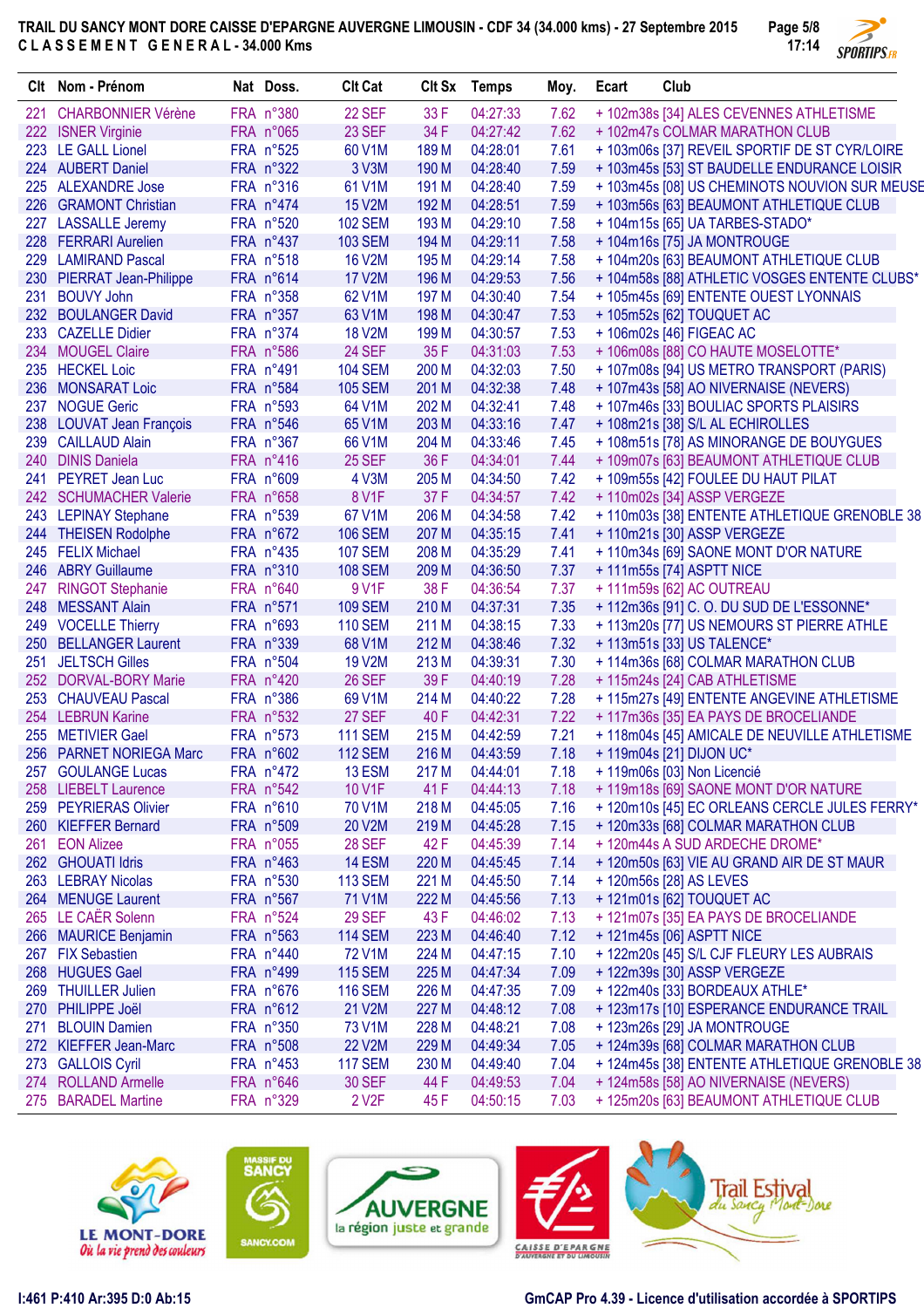

|     | CIt Nom - Prénom             | Nat Doss. | <b>Clt Cat</b>     | Clt Sx | <b>Temps</b> | Moy. | Ecart | Club                                          |
|-----|------------------------------|-----------|--------------------|--------|--------------|------|-------|-----------------------------------------------|
| 221 | <b>CHARBONNIER Vérène</b>    | FRA n°380 | 22 SEF             | 33 F   | 04:27:33     | 7.62 |       | + 102m38s [34] ALES CEVENNES ATHLETISME       |
|     | 222 ISNER Virginie           | FRA n°065 | 23 SEF             | 34 F   | 04:27:42     | 7.62 |       | + 102m47s COLMAR MARATHON CLUB                |
|     | 223 LE GALL Lionel           | FRA n°525 | 60 V1M             | 189 M  | 04:28:01     | 7.61 |       | + 103m06s [37] REVEIL SPORTIF DE ST CYR/LOIRE |
|     | 224 AUBERT Daniel            | FRA n°322 | 3 V3M              | 190 M  | 04:28:40     | 7.59 |       | + 103m45s [53] ST BAUDELLE ENDURANCE LOISIR   |
| 225 | <b>ALEXANDRE Jose</b>        | FRA n°316 | 61 V1M             | 191 M  | 04:28:40     | 7.59 |       | + 103m45s [08] US CHEMINOTS NOUVION SUR MEUSE |
|     | 226 GRAMONT Christian        | FRA n°474 | <b>15 V2M</b>      | 192 M  | 04:28:51     | 7.59 |       | + 103m56s [63] BEAUMONT ATHLETIQUE CLUB       |
|     | 227 LASSALLE Jeremy          | FRA n°520 | <b>102 SEM</b>     | 193 M  | 04:29:10     | 7.58 |       | + 104m15s [65] UA TARBES-STADO*               |
|     | 228 FERRARI Aurelien         | FRA n°437 | <b>103 SEM</b>     | 194 M  | 04:29:11     | 7.58 |       | + 104m16s [75] JA MONTROUGE                   |
|     | 229 LAMIRAND Pascal          | FRA n°518 | <b>16 V2M</b>      | 195 M  | 04:29:14     | 7.58 |       | + 104m20s [63] BEAUMONT ATHLETIQUE CLUB       |
| 230 | <b>PIERRAT Jean-Philippe</b> | FRA n°614 | <b>17 V2M</b>      | 196 M  | 04:29:53     | 7.56 |       | + 104m58s [88] ATHLETIC VOSGES ENTENTE CLUBS* |
| 231 | <b>BOUVY John</b>            | FRA n°358 | 62 V1M             | 197 M  | 04:30:40     | 7.54 |       | +105m45s [69] ENTENTE OUEST LYONNAIS          |
|     | 232 BOULANGER David          | FRA n°357 | 63 V1M             | 198 M  | 04:30:47     | 7.53 |       | + 105m52s [62] TOUQUET AC                     |
| 233 | <b>CAZELLE Didier</b>        | FRA n°374 | <b>18 V2M</b>      | 199 M  | 04:30:57     | 7.53 |       | + 106m02s [46] FIGEAC AC                      |
| 234 | <b>MOUGEL Claire</b>         | FRA n°586 | <b>24 SEF</b>      | 35 F   | 04:31:03     | 7.53 |       | +106m08s [88] CO HAUTE MOSELOTTE*             |
|     | 235 HECKEL Loic              | FRA n°491 | <b>104 SEM</b>     | 200 M  | 04:32:03     | 7.50 |       | + 107m08s [94] US METRO TRANSPORT (PARIS)     |
| 236 | <b>MONSARAT Loic</b>         | FRA n°584 | <b>105 SEM</b>     | 201 M  | 04:32:38     | 7.48 |       | +107m43s [58] AO NIVERNAISE (NEVERS)          |
| 237 | <b>NOGUE Geric</b>           | FRA n°593 | 64 V1M             | 202 M  | 04:32:41     | 7.48 |       | +107m46s [33] BOULIAC SPORTS PLAISIRS         |
| 238 | <b>LOUVAT Jean François</b>  | FRA n°546 | 65 V1M             | 203 M  | 04:33:16     | 7.47 |       | + 108m21s [38] S/L AL ECHIROLLES              |
| 239 | <b>CAILLAUD Alain</b>        | FRA n°367 | 66 V1M             | 204 M  | 04:33:46     | 7.45 |       | +108m51s [78] AS MINORANGE DE BOUYGUES        |
| 240 | <b>DINIS Daniela</b>         | FRA n°416 | 25 SEF             | 36 F   | 04:34:01     | 7.44 |       | + 109m07s [63] BEAUMONT ATHLETIQUE CLUB       |
| 241 | PEYRET Jean Luc              | FRA n°609 | 4 V3M              | 205 M  | 04:34:50     | 7.42 |       | + 109m55s [42] FOULEE DU HAUT PILAT           |
|     | 242 SCHUMACHER Valerie       | FRA n°658 | <b>8 V1F</b>       | 37 F   | 04:34:57     | 7.42 |       | + 110m02s [34] ASSP VERGEZE                   |
|     | 243 LEPINAY Stephane         | FRA n°539 | 67 V1M             | 206 M  | 04:34:58     | 7.42 |       | + 110m03s [38] ENTENTE ATHLETIQUE GRENOBLE 38 |
|     | 244 THEISEN Rodolphe         | FRA n°672 | <b>106 SEM</b>     | 207 M  | 04:35:15     | 7.41 |       |                                               |
|     |                              |           |                    |        |              |      |       | + 110m21s [30] ASSP VERGEZE                   |
|     | 245 FELIX Michael            | FRA n°435 | <b>107 SEM</b>     | 208 M  | 04:35:29     | 7.41 |       | +110m34s [69] SAONE MONT D'OR NATURE          |
| 246 | <b>ABRY Guillaume</b>        | FRA n°310 | <b>108 SEM</b>     | 209 M  | 04:36:50     | 7.37 |       | + 111m55s [74] ASPTT NICE                     |
| 247 | <b>RINGOT Stephanie</b>      | FRA n°640 | 9 V1F              | 38 F   | 04:36:54     | 7.37 |       | +111m59s [62] AC OUTREAU                      |
| 248 | <b>MESSANT Alain</b>         | FRA n°571 | <b>109 SEM</b>     | 210 M  | 04:37:31     | 7.35 |       | +112m36s [91] C.O. DU SUD DE L'ESSONNE*       |
|     | 249 VOCELLE Thierry          | FRA n°693 | <b>110 SEM</b>     | 211 M  | 04:38:15     | 7.33 |       | + 113m20s [77] US NEMOURS ST PIERRE ATHLE     |
| 250 | <b>BELLANGER Laurent</b>     | FRA n°339 | 68 V1M             | 212 M  | 04:38:46     | 7.32 |       | + 113m51s [33] US TALENCE*                    |
| 251 | <b>JELTSCH Gilles</b>        | FRA n°504 | <b>19 V2M</b>      | 213 M  | 04:39:31     | 7.30 |       | +114m36s [68] COLMAR MARATHON CLUB            |
| 252 | <b>DORVAL-BORY Marie</b>     | FRA n°420 | <b>26 SEF</b>      | 39F    | 04:40:19     | 7.28 |       | + 115m24s [24] CAB ATHLETISME                 |
| 253 | <b>CHAUVEAU Pascal</b>       | FRA n°386 | 69 V1M             | 214 M  | 04:40:22     | 7.28 |       | + 115m27s [49] ENTENTE ANGEVINE ATHLETISME    |
| 254 | <b>LEBRUN Karine</b>         | FRA n°532 | 27 SEF             | 40 F   | 04:42:31     | 7.22 |       | +117m36s [35] EA PAYS DE BROCELIANDE          |
| 255 | <b>METIVIER Gael</b>         | FRA n°573 | <b>111 SEM</b>     | 215 M  | 04:42:59     | 7.21 |       | + 118m04s [45] AMICALE DE NEUVILLE ATHLETISME |
|     | 256 PARNET NORIEGA Marc      | FRA n°602 | <b>112 SEM</b>     | 216 M  | 04:43:59     | 7.18 |       | +119m04s [21] DIJON UC*                       |
|     | 257 GOULANGE Lucas           | FRA n°472 | 13 ESM             | 217 M  | 04:44:01     | 7.18 |       | + 119m06s [03] Non Licencié                   |
|     | 258 LIEBELT Laurence         | FRA n°542 | 10 V1F             | 41 F   | 04:44:13     | 7.18 |       | + 119m18s [69] SAONE MONT D'OR NATURE         |
|     | 259 PEYRIERAS Olivier        | FRA n°610 | 70 V1M             | 218 M  | 04:45:05     | 7.16 |       | + 120m10s [45] EC ORLEANS CERCLE JULES FERRY* |
|     | 260 KIEFFER Bernard          | FRA n°509 | 20 V2M             | 219 M  | 04:45:28     | 7.15 |       | + 120m33s [68] COLMAR MARATHON CLUB           |
|     | 261 EON Alizee               | FRA n°055 | <b>28 SEF</b>      | 42 F   | 04:45:39     | 7.14 |       | +120m44s A SUD ARDECHE DROME*                 |
|     | 262 GHOUATI Idris            | FRA n°463 | <b>14 ESM</b>      | 220 M  | 04:45:45     | 7.14 |       | + 120m50s [63] VIE AU GRAND AIR DE ST MAUR    |
|     | 263 LEBRAY Nicolas           | FRA n°530 | <b>113 SEM</b>     | 221 M  | 04:45:50     | 7.14 |       | +120m56s [28] AS LEVES                        |
|     | 264 MENUGE Laurent           | FRA n°567 | 71 V1M             | 222 M  | 04:45:56     | 7.13 |       | + 121m01s [62] TOUQUET AC                     |
|     | 265 LE CAËR Solenn           | FRA n°524 | <b>29 SEF</b>      | 43 F   | 04:46:02     | 7.13 |       | + 121m07s [35] EA PAYS DE BROCELIANDE         |
|     | 266 MAURICE Benjamin         | FRA n°563 | <b>114 SEM</b>     | 223 M  | 04:46:40     | 7.12 |       | + 121m45s [06] ASPTT NICE                     |
|     | 267 FIX Sebastien            | FRA n°440 | <b>72 V1M</b>      | 224 M  | 04:47:15     | 7.10 |       | + 122m20s [45] S/L CJF FLEURY LES AUBRAIS     |
|     | 268 HUGUES Gael              | FRA n°499 | <b>115 SEM</b>     | 225 M  | 04:47:34     | 7.09 |       | + 122m39s [30] ASSP VERGEZE                   |
|     | 269 THUILLER Julien          | FRA n°676 | <b>116 SEM</b>     | 226 M  | 04:47:35     | 7.09 |       | + 122m40s [33] BORDEAUX ATHLE*                |
|     | 270 PHILIPPE Joël            | FRA n°612 | 21 V2M             | 227 M  | 04:48:12     | 7.08 |       | + 123m17s [10] ESPERANCE ENDURANCE TRAIL      |
|     | 271 BLOUIN Damien            | FRA n°350 | 73 V1M             | 228 M  | 04:48:21     | 7.08 |       | + 123m26s [29] JA MONTROUGE                   |
|     | 272 KIEFFER Jean-Marc        | FRA n°508 | <b>22 V2M</b>      | 229 M  | 04:49:34     | 7.05 |       | + 124m39s [68] COLMAR MARATHON CLUB           |
|     | 273 GALLOIS Cyril            | FRA n°453 | <b>117 SEM</b>     | 230 M  | 04:49:40     | 7.04 |       | + 124m45s [38] ENTENTE ATHLETIQUE GRENOBLE 38 |
|     | 274 ROLLAND Armelle          | FRA n°646 | <b>30 SEF</b>      | 44 F   | 04:49:53     | 7.04 |       | + 124m58s [58] AO NIVERNAISE (NEVERS)         |
|     | 275 BARADEL Martine          | FRA n°329 | 2 V <sub>2</sub> F | 45 F   | 04:50:15     | 7.03 |       | + 125m20s [63] BEAUMONT ATHLETIQUE CLUB       |
|     |                              |           |                    |        |              |      |       |                                               |









**I:461 P:410 Ar:395 D:0 Ab:15 GmCAP Pro 4.39 - Licence d'utilisation accordée à SPORTIPS**

ore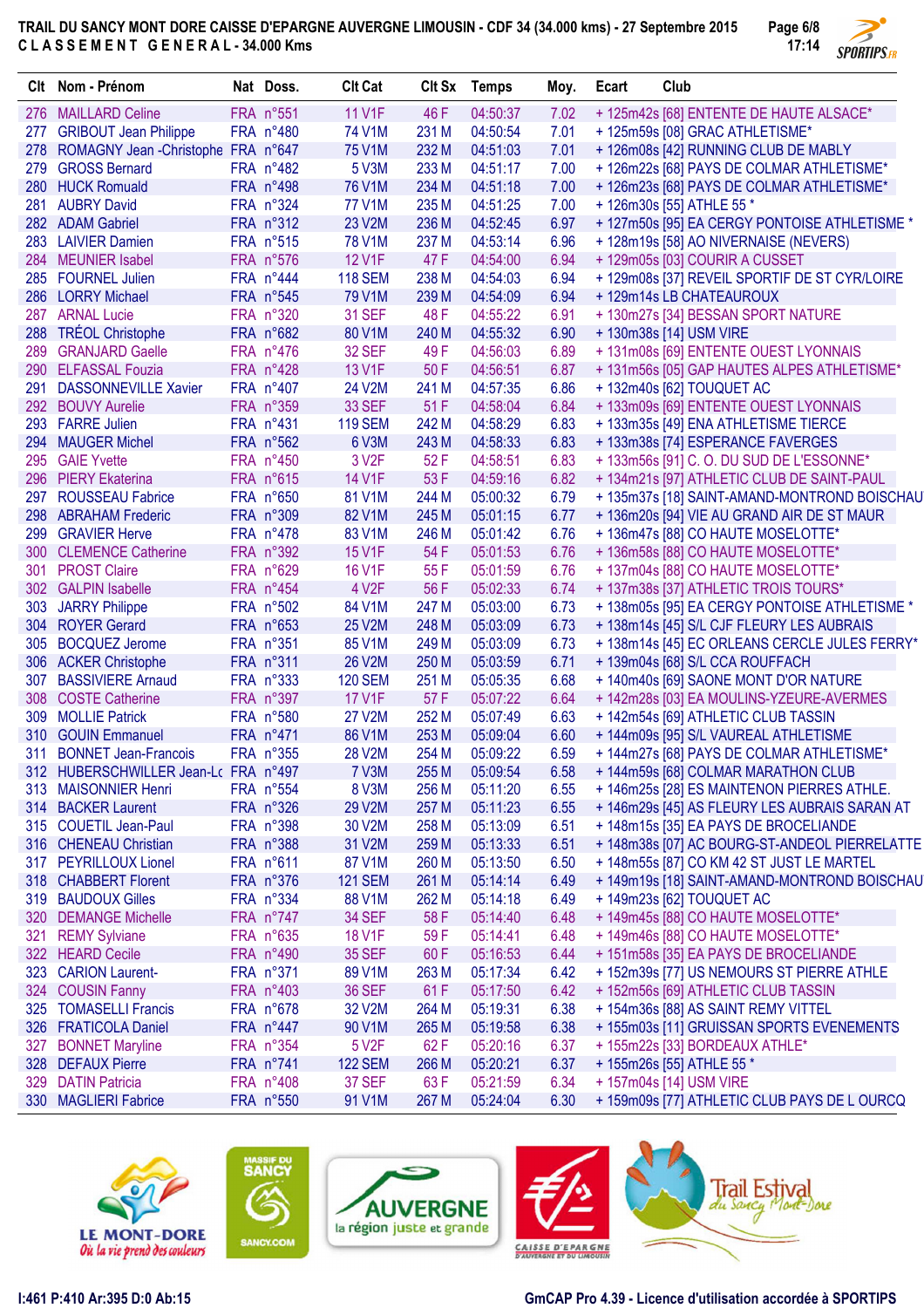

|     | Clt Nom - Prénom                           | Nat Doss.              | <b>Clt Cat</b>     | CIt Sx | <b>Temps</b>         | Moy.         | Ecart | Club                                                                                  |
|-----|--------------------------------------------|------------------------|--------------------|--------|----------------------|--------------|-------|---------------------------------------------------------------------------------------|
|     | 276 MAILLARD Celine                        | FRA n°551              | <b>11 V1F</b>      | 46 F   | 04:50:37             | 7.02         |       | + 125m42s [68] ENTENTE DE HAUTE ALSACE*                                               |
| 277 | <b>GRIBOUT Jean Philippe</b>               | FRA n°480              | 74 V1M             | 231 M  | 04:50:54             | 7.01         |       | +125m59s [08] GRAC ATHLETISME*                                                        |
|     | 278 ROMAGNY Jean - Christophe FRA n°647    |                        | <b>75 V1M</b>      | 232 M  | 04:51:03             | 7.01         |       | + 126m08s [42] RUNNING CLUB DE MABLY                                                  |
| 279 | <b>GROSS Bernard</b>                       | FRA n°482              | 5 V3M              | 233 M  | 04:51:17             | 7.00         |       | + 126m22s [68] PAYS DE COLMAR ATHLETISME*                                             |
|     | 280 HUCK Romuald                           | FRA n°498              | 76 V1M             | 234 M  | 04:51:18             | 7.00         |       | + 126m23s [68] PAYS DE COLMAR ATHLETISME*                                             |
| 281 | <b>AUBRY David</b>                         | FRA n°324              | <b>77 V1M</b>      | 235 M  | 04:51:25             | 7.00         |       | + 126m30s [55] ATHLE 55 *                                                             |
|     | 282 ADAM Gabriel                           | FRA n°312              | 23 V2M             | 236 M  | 04:52:45             | 6.97         |       | + 127m50s [95] EA CERGY PONTOISE ATHLETISME *                                         |
|     | 283 LAIVIER Damien                         | FRA n°515              | <b>78 V1M</b>      | 237 M  | 04:53:14             | 6.96         |       | + 128m19s [58] AO NIVERNAISE (NEVERS)                                                 |
|     | 284 MEUNIER Isabel                         | FRA n°576              | <b>12 V1F</b>      | 47 F   | 04:54:00             | 6.94         |       | +129m05s [03] COURIR A CUSSET                                                         |
| 285 | <b>FOURNEL Julien</b>                      | FRA n°444              | <b>118 SEM</b>     | 238 M  | 04:54:03             | 6.94         |       | + 129m08s [37] REVEIL SPORTIF DE ST CYR/LOIRE                                         |
| 286 | <b>LORRY Michael</b>                       | FRA n°545              | 79 V1M             | 239 M  | 04:54:09             | 6.94         |       | + 129m14s LB CHATEAUROUX                                                              |
|     | 287 ARNAL Lucie                            | FRA n°320              | <b>31 SEF</b>      | 48 F   | 04:55:22             | 6.91         |       | + 130m27s [34] BESSAN SPORT NATURE                                                    |
|     | 288 TRÉOL Christophe                       | FRA n°682              | 80 V1M             | 240 M  | 04:55:32             | 6.90         |       | + 130m38s [14] USM VIRE                                                               |
| 289 | <b>GRANJARD Gaelle</b>                     | FRA n°476              | <b>32 SEF</b>      | 49 F   | 04:56:03             | 6.89         |       | + 131m08s [69] ENTENTE OUEST LYONNAIS                                                 |
|     | 290 ELFASSAL Fouzia                        | FRA n°428              | 13 V1F             | 50 F   | 04:56:51             | 6.87         |       | + 131m56s [05] GAP HAUTES ALPES ATHLETISME*                                           |
| 291 | <b>DASSONNEVILLE Xavier</b>                | FRA n°407              | 24 V2M             | 241 M  | 04:57:35             | 6.86         |       | + 132m40s [62] TOUQUET AC                                                             |
|     | 292 BOUVY Aurelie                          | FRA n°359              | <b>33 SEF</b>      | 51 F   | 04:58:04             | 6.84         |       | + 133m09s [69] ENTENTE OUEST LYONNAIS                                                 |
|     | 293 FARRE Julien                           | FRA n°431              | <b>119 SEM</b>     | 242 M  | 04:58:29             | 6.83         |       | + 133m35s [49] ENA ATHLETISME TIERCE                                                  |
|     | 294 MAUGER Michel                          | FRA n°562              | 6 V3M              | 243 M  | 04:58:33             | 6.83         |       | + 133m38s [74] ESPERANCE FAVERGES                                                     |
|     | 295 GAIE Yvette                            | FRA n°450              | 3 V <sub>2</sub> F | 52 F   | 04:58:51             | 6.83         |       | + 133m56s [91] C.O. DU SUD DE L'ESSONNE*                                              |
|     | 296 PIERY Ekaterina                        | FRA n°615              | 14 V1F             | 53 F   | 04:59:16             | 6.82         |       | + 134m21s [97] ATHLETIC CLUB DE SAINT-PAUL                                            |
|     | 297 ROUSSEAU Fabrice                       | FRA n°650              | 81 V1M             | 244 M  | 05:00:32             | 6.79         |       | +135m37s [18] SAINT-AMAND-MONTROND BOISCHAU                                           |
|     | 298 ABRAHAM Frederic                       | FRA n°309              | 82 V1M             | 245 M  | 05:01:15             | 6.77         |       | + 136m20s [94] VIE AU GRAND AIR DE ST MAUR                                            |
| 299 | <b>GRAVIER Herve</b>                       | FRA n°478              | 83 V1M             | 246 M  | 05:01:42             | 6.76         |       | + 136m47s [88] CO HAUTE MOSELOTTE*                                                    |
|     | 300 CLEMENCE Catherine                     | FRA n°392              | 15 V1F             | 54 F   | 05:01:53             | 6.76         |       | +136m58s [88] CO HAUTE MOSELOTTE*                                                     |
|     | 301 PROST Claire                           | FRA n°629              | 16 V1F             | 55 F   | 05:01:59             | 6.76         |       | + 137m04s [88] CO HAUTE MOSELOTTE*                                                    |
|     | 302 GALPIN Isabelle                        | FRA n°454              | 4 V <sub>2</sub> F | 56 F   | 05:02:33             | 6.74         |       | + 137m38s [37] ATHLETIC TROIS TOURS*                                                  |
| 303 | <b>JARRY Philippe</b>                      | FRA n°502              | 84 V1M             | 247 M  | 05:03:00             | 6.73         |       | + 138m05s [95] EA CERGY PONTOISE ATHLETISME *                                         |
|     | 304 ROYER Gerard                           | FRA n°653              | 25 V2M             | 248 M  | 05:03:09             | 6.73         |       | + 138m14s [45] S/L CJF FLEURY LES AUBRAIS                                             |
|     | 305 BOCQUEZ Jerome                         | FRA n°351              | 85 V1M             | 249 M  | 05:03:09             | 6.73         |       | + 138m14s [45] EC ORLEANS CERCLE JULES FERRY*                                         |
|     | 306 ACKER Christophe                       | FRA n°311              | 26 V2M             | 250 M  | 05:03:59             | 6.71         |       | + 139m04s [68] S/L CCA ROUFFACH                                                       |
| 307 | <b>BASSIVIERE Arnaud</b>                   | FRA n°333              | <b>120 SEM</b>     | 251 M  | 05:05:35             | 6.68         |       | + 140m40s [69] SAONE MONT D'OR NATURE                                                 |
|     | 308 COSTE Catherine                        | FRA n°397              | <b>17 V1F</b>      | 57 F   | 05:07:22             | 6.64         |       | + 142m28s [03] EA MOULINS-YZEURE-AVERMES                                              |
| 309 | <b>MOLLIE Patrick</b>                      | FRA n°580              | <b>27 V2M</b>      | 252 M  | 05:07:49             | 6.63         |       | + 142m54s [69] ATHLETIC CLUB TASSIN                                                   |
| 310 | <b>GOUIN Emmanuel</b>                      | FRA n°471              | 86 V1M             | 253 M  | 05:09:04             | 6.60         |       | + 144m09s [95] S/L VAUREAL ATHLETISME                                                 |
| 311 | <b>BONNET Jean-Francois</b>                | FRA n°355              | 28 V2M             | 254 M  | 05:09:22             | 6.59         |       | + 144m27s [68] PAYS DE COLMAR ATHLETISME*                                             |
|     | 312 HUBERSCHWILLER Jean-Lc FRA n°497       |                        | 7 V3M              | 255 M  | 05:09:54             | 6.58         |       | + 144m59s [68] COLMAR MARATHON CLUB                                                   |
|     |                                            | FRA n°554              |                    | 256 M  |                      |              |       |                                                                                       |
|     | 313 MAISONNIER Henri<br>314 BACKER Laurent |                        | 8 V3M<br>29 V2M    | 257 M  | 05:11:20             | 6.55         |       | +146m25s [28] ES MAINTENON PIERRES ATHLE.                                             |
|     | 315 COUETIL Jean-Paul                      | FRA n°326<br>FRA n°398 | 30 V2M             | 258 M  | 05:11:23<br>05:13:09 | 6.55<br>6.51 |       | +146m29s [45] AS FLEURY LES AUBRAIS SARAN AT                                          |
|     | 316 CHENEAU Christian                      | FRA n°388              | 31 V2M             | 259 M  |                      | 6.51         |       | + 148m15s [35] EA PAYS DE BROCELIANDE<br>+148m38s [07] AC BOURG-ST-ANDEOL PIERRELATTE |
|     | 317 PEYRILLOUX Lionel                      |                        | 87 V1M             |        | 05:13:33             |              |       |                                                                                       |
|     |                                            | FRA n°611              | <b>121 SEM</b>     | 260 M  | 05:13:50             | 6.50<br>6.49 |       | +148m55s [87] CO KM 42 ST JUST LE MARTEL                                              |
|     | 318 CHABBERT Florent                       | FRA n°376              |                    | 261 M  | 05:14:14             |              |       | +149m19s [18] SAINT-AMAND-MONTROND BOISCHAU                                           |
|     | 319 BAUDOUX Gilles<br>320 DEMANGE Michelle | FRA n°334              | 88 V1M             | 262 M  | 05:14:18<br>05:14:40 | 6.49         |       | + 149m23s [62] TOUQUET AC                                                             |
|     |                                            | FRA n°747              | <b>34 SEF</b>      | 58 F   |                      | 6.48         |       | + 149m45s [88] CO HAUTE MOSELOTTE*                                                    |
|     | 321 REMY Sylviane                          | FRA n°635              | 18 V1F             | 59F    | 05:14:41             | 6.48         |       | +149m46s [88] CO HAUTE MOSELOTTE*                                                     |
|     | 322 HEARD Cecile                           | FRA n°490              | <b>35 SEF</b>      | 60 F   | 05:16:53             | 6.44         |       | +151m58s [35] EA PAYS DE BROCELIANDE                                                  |
|     | 323 CARION Laurent-                        | FRA n°371              | 89 V1M             | 263 M  | 05:17:34             | 6.42         |       | + 152m39s [77] US NEMOURS ST PIERRE ATHLE                                             |
|     | 324 COUSIN Fanny                           | FRA n°403              | <b>36 SEF</b>      | 61 F   | 05:17:50             | 6.42         |       | + 152m56s [69] ATHLETIC CLUB TASSIN                                                   |
|     | 325 TOMASELLI Francis                      | FRA n°678              | 32 V2M             | 264 M  | 05:19:31             | 6.38         |       | + 154m36s [88] AS SAINT REMY VITTEL                                                   |
|     | 326 FRATICOLA Daniel                       | FRA n°447              | 90 V1M             | 265 M  | 05:19:58             | 6.38         |       | +155m03s [11] GRUISSAN SPORTS EVENEMENTS                                              |
| 327 | <b>BONNET Maryline</b>                     | FRA n°354              | 5 V <sub>2</sub> F | 62 F   | 05:20:16             | 6.37         |       | + 155m22s [33] BORDEAUX ATHLE*                                                        |
|     | 328 DEFAUX Pierre                          | FRA n°741              | <b>122 SEM</b>     | 266 M  | 05:20:21             | 6.37         |       | + 155m26s [55] ATHLE 55 *                                                             |
|     | 329 DATIN Patricia                         | FRA n°408              | 37 SEF             | 63 F   | 05:21:59             | 6.34         |       | + 157m04s [14] USM VIRE                                                               |
|     | 330 MAGLIERI Fabrice                       | FRA n°550              | 91 V1M             | 267 M  | 05:24:04             | 6.30         |       | + 159m09s [77] ATHLETIC CLUB PAYS DE L OURCQ                                          |







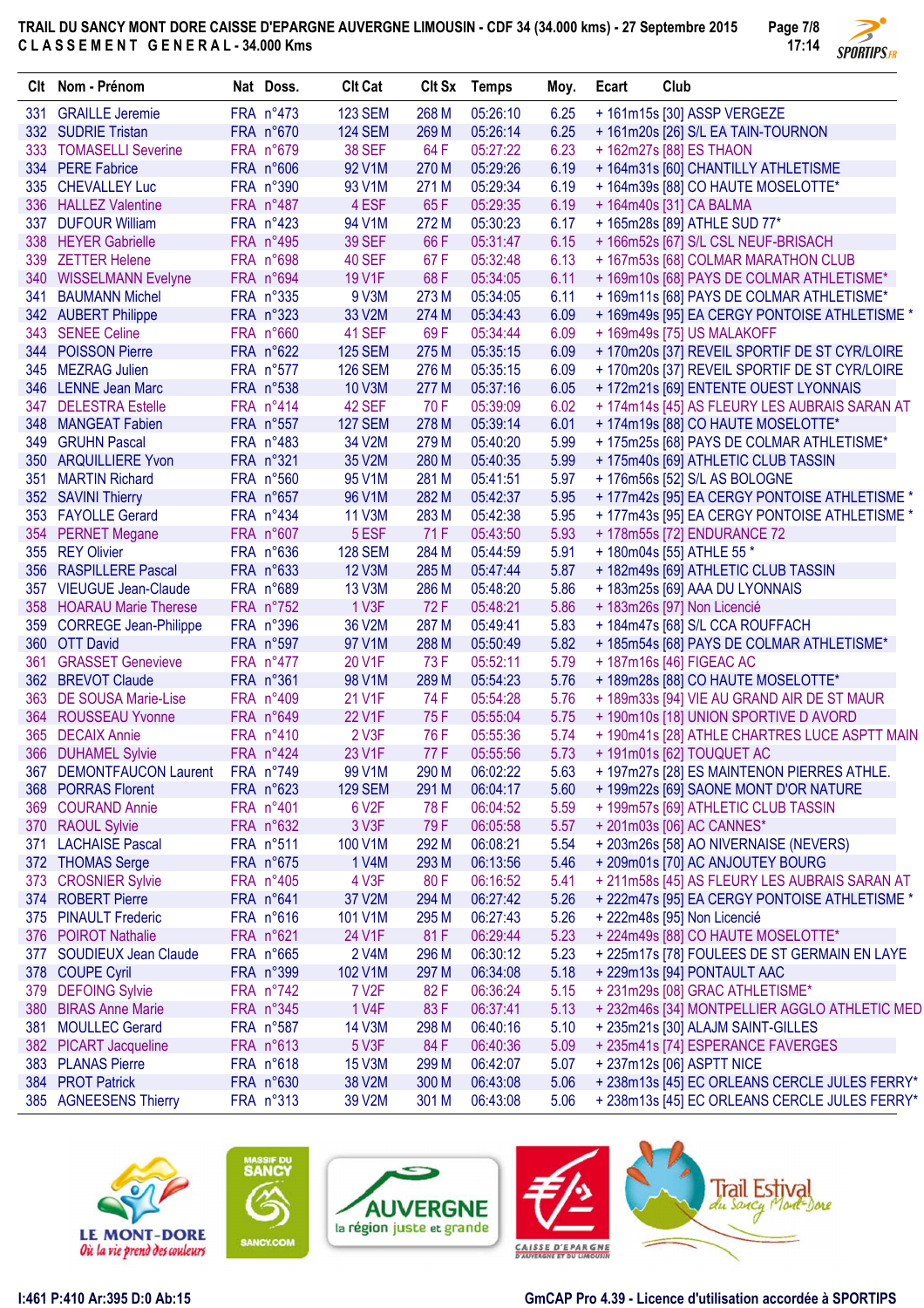

|     | Clt Nom - Prénom                   | Nat Doss.    | <b>Clt Cat</b>      |       | Clt Sx Temps | Moy. | Ecart | Club                                          |
|-----|------------------------------------|--------------|---------------------|-------|--------------|------|-------|-----------------------------------------------|
| 331 | <b>GRAILLE Jeremie</b>             | FRA n°473    | <b>123 SEM</b>      | 268 M | 05:26:10     | 6.25 |       | + 161m15s [30] ASSP VERGEZE                   |
|     | 332 SUDRIE Tristan                 | FRA n°670    | <b>124 SEM</b>      | 269 M | 05:26:14     | 6.25 |       | + 161m20s [26] S/L EA TAIN-TOURNON            |
|     | 333 TOMASELLI Severine             | FRA n°679    | <b>38 SEF</b>       | 64 F  | 05:27:22     | 6.23 |       | + 162m27s [88] ES THAON                       |
|     | 334 PERE Fabrice                   | FRA n°606    | 92 V1M              | 270 M | 05:29:26     | 6.19 |       | + 164m31s [60] CHANTILLY ATHLETISME           |
|     | 335 CHEVALLEY Luc                  | FRA n°390    | 93 V1M              | 271 M | 05:29:34     | 6.19 |       | +164m39s [88] CO HAUTE MOSELOTTE*             |
|     | 336 HALLEZ Valentine               | FRA n°487    | 4 ESF               | 65F   | 05:29:35     | 6.19 |       | + 164m40s [31] CA BALMA                       |
|     | 337 DUFOUR William                 | $FRA n^0423$ | 94 V1M              | 272 M | 05:30:23     | 6.17 |       | + 165m28s [89] ATHLE SUD 77*                  |
|     | 338 HEYER Gabrielle                | FRA n°495    | <b>39 SEF</b>       | 66 F  | 05:31:47     | 6.15 |       | +166m52s [67] S/L CSL NEUF-BRISACH            |
|     | 339 ZETTER Helene                  | FRA n°698    | <b>40 SEF</b>       | 67 F  | 05:32:48     | 6.13 |       | + 167m53s [68] COLMAR MARATHON CLUB           |
|     | 340 WISSELMANN Evelyne             | FRA n°694    | 19 V1F              | 68 F  | 05:34:05     | 6.11 |       | + 169m10s [68] PAYS DE COLMAR ATHLETISME*     |
| 341 | <b>BAUMANN Michel</b>              | FRA n°335    | 9 V3M               | 273 M | 05:34:05     | 6.11 |       |                                               |
|     |                                    |              | 33 V2M              |       |              |      |       | + 169m11s [68] PAYS DE COLMAR ATHLETISME*     |
|     | 342 AUBERT Philippe                | FRA n°323    |                     | 274 M | 05:34:43     | 6.09 |       | + 169m49s [95] EA CERGY PONTOISE ATHLETISME * |
|     | 343 SENEE Celine                   | FRA n°660    | <b>41 SEF</b>       | 69F   | 05:34:44     | 6.09 |       | + 169m49s [75] US MALAKOFF                    |
|     | 344 POISSON Pierre                 | FRA n°622    | <b>125 SEM</b>      | 275 M | 05:35:15     | 6.09 |       | + 170m20s [37] REVEIL SPORTIF DE ST CYR/LOIRE |
|     | 345 MEZRAG Julien                  | FRA n°577    | <b>126 SEM</b>      | 276 M | 05:35:15     | 6.09 |       | +170m20s [37] REVEIL SPORTIF DE ST CYR/LOIRE  |
|     | 346 LENNE Jean Marc                | FRA n°538    | <b>10 V3M</b>       | 277 M | 05:37:16     | 6.05 |       | + 172m21s [69] ENTENTE OUEST LYONNAIS         |
|     | 347 DELESTRA Estelle               | FRA n°414    | 42 SEF              | 70 F  | 05:39:09     | 6.02 |       | +174m14s [45] AS FLEURY LES AUBRAIS SARAN AT  |
|     | 348 MANGEAT Fabien                 | FRA n°557    | <b>127 SEM</b>      | 278 M | 05:39:14     | 6.01 |       | +174m19s [88] CO HAUTE MOSELOTTE*             |
|     | 349 GRUHN Pascal                   | FRA n°483    | 34 V2M              | 279 M | 05:40:20     | 5.99 |       | +175m25s [68] PAYS DE COLMAR ATHLETISME*      |
|     | 350 ARQUILLIERE Yvon               | FRA n°321    | 35 V2M              | 280 M | 05:40:35     | 5.99 |       | +175m40s [69] ATHLETIC CLUB TASSIN            |
| 351 | <b>MARTIN Richard</b>              | FRA n°560    | 95 V1M              | 281 M | 05:41:51     | 5.97 |       | + 176m56s [52] S/L AS BOLOGNE                 |
|     | 352 SAVINI Thierry                 | FRA n°657    | 96 V1M              | 282 M | 05:42:37     | 5.95 |       | + 177m42s [95] EA CERGY PONTOISE ATHLETISME * |
|     | 353 FAYOLLE Gerard                 | FRA n°434    | <b>11 V3M</b>       | 283 M | 05:42:38     | 5.95 |       | + 177m43s [95] EA CERGY PONTOISE ATHLETISME * |
|     | 354 PERNET Megane                  | FRA n°607    | 5 ESF               | 71 F  | 05:43:50     | 5.93 |       | + 178m55s [72] ENDURANCE 72                   |
|     | 355 REY Olivier                    | FRA n°636    | <b>128 SEM</b>      | 284 M | 05:44:59     | 5.91 |       | + 180m04s [55] ATHLE 55 *                     |
|     | 356 RASPILLERE Pascal              | FRA n°633    | <b>12 V3M</b>       | 285 M | 05:47:44     | 5.87 |       | + 182m49s [69] ATHLETIC CLUB TASSIN           |
|     | 357 VIEUGUE Jean-Claude            | FRA n°689    | <b>13 V3M</b>       | 286 M | 05:48:20     | 5.86 |       | + 183m25s [69] AAA DU LYONNAIS                |
|     | 358 HOARAU Marie Therese           | FRA n°752    | 1 V3F               | 72 F  | 05:48:21     | 5.86 |       | + 183m26s [97] Non Licencié                   |
|     | 359 CORREGE Jean-Philippe          | FRA n°396    | 36 V2M              | 287 M | 05:49:41     | 5.83 |       | + 184m47s [68] S/L CCA ROUFFACH               |
|     | 360 OTT David                      | FRA n°597    | 97 V1M              | 288 M | 05:50:49     | 5.82 |       | + 185m54s [68] PAYS DE COLMAR ATHLETISME*     |
| 361 | <b>GRASSET Genevieve</b>           | FRA n°477    | 20 V1F              | 73 F  | 05:52:11     | 5.79 |       |                                               |
|     | 362 BREVOT Claude                  |              |                     |       |              |      |       | + 187m16s [46] FIGEAC AC                      |
|     |                                    | FRA n°361    | 98 V1M              | 289 M | 05:54:23     | 5.76 |       | + 189m28s [88] CO HAUTE MOSELOTTE*            |
|     | 363 DE SOUSA Marie-Lise            | FRA n°409    | 21 V1F              | 74 F  | 05:54:28     | 5.76 |       | + 189m33s [94] VIE AU GRAND AIR DE ST MAUR    |
|     | 364 ROUSSEAU Yvonne                | FRA n°649    | 22 V1F              | 75F   | 05:55:04     | 5.75 |       | + 190m10s [18] UNION SPORTIVE D AVORD         |
|     | 365 DECAIX Annie                   | FRA n°410    | 2 V3F               | 76 F  | 05:55:36     | 5.74 |       | + 190m41s [28] ATHLE CHARTRES LUCE ASPTT MAIN |
|     | 366 DUHAMEL Sylvie                 | FRA n°424    | 23 V1F              | 77 F  | 05:55:56     | 5.73 |       | + 191m01s [62] TOUQUET AC                     |
|     | 367 DEMONTFAUCON Laurent FRA n°749 |              | 99 V1M              | 290 M | 06:02:22     | 5.63 |       | + 197m27s [28] ES MAINTENON PIERRES ATHLE.    |
|     | 368 PORRAS Florent                 | FRA n°623    | <b>129 SEM</b>      | 291 M | 06:04:17     | 5.60 |       | + 199m22s [69] SAONE MONT D'OR NATURE         |
|     | 369 COURAND Annie                  | FRA n°401    | 6 V <sub>2</sub> F  | 78 F  | 06:04:52     | 5.59 |       | + 199m57s [69] ATHLETIC CLUB TASSIN           |
|     | 370 RAOUL Sylvie                   | FRA n°632    | 3 V3F               | 79 F  | 06:05:58     | 5.57 |       | + 201m03s [06] AC CANNES*                     |
| 371 | <b>LACHAISE Pascal</b>             | FRA n°511    | 100 V1M             | 292 M | 06:08:21     | 5.54 |       | + 203m26s [58] AO NIVERNAISE (NEVERS)         |
|     | 372 THOMAS Serge                   | FRA n°675    | 1 V4M               | 293 M | 06:13:56     | 5.46 |       | + 209m01s [70] AC ANJOUTEY BOURG              |
|     | 373 CROSNIER Sylvie                | FRA n°405    | 4 V3F               | 80 F  | 06:16:52     | 5.41 |       | +211m58s [45] AS FLEURY LES AUBRAIS SARAN AT  |
|     | 374 ROBERT Pierre                  | FRA n°641    | 37 V <sub>2</sub> M | 294 M | 06:27:42     | 5.26 |       | + 222m47s [95] EA CERGY PONTOISE ATHLETISME * |
|     | 375 PINAULT Frederic               | FRA n°616    | 101 V1M             | 295 M | 06:27:43     | 5.26 |       | + 222m48s [95] Non Licencié                   |
|     | 376 POIROT Nathalie                | FRA n°621    | 24 V1F              | 81 F  | 06:29:44     | 5.23 |       | + 224m49s [88] CO HAUTE MOSELOTTE*            |
|     | 377 SOUDIEUX Jean Claude           | FRA n°665    | 2 V4M               | 296 M | 06:30:12     | 5.23 |       | +225m17s [78] FOULEES DE ST GERMAIN EN LAYE   |
|     | 378 COUPE Cyril                    | FRA n°399    | 102 V1M             | 297 M | 06:34:08     | 5.18 |       | + 229m13s [94] PONTAULT AAC                   |
|     | 379 DEFOING Sylvie                 | FRA n°742    | 7 V <sub>2</sub> F  | 82F   | 06:36:24     | 5.15 |       | +231m29s [08] GRAC ATHLETISME*                |
|     | 380 BIRAS Anne Marie               |              |                     |       |              |      |       |                                               |
|     |                                    | FRA n°345    | 1 V4F               | 83F   | 06:37:41     | 5.13 |       | + 232m46s [34] MONTPELLIER AGGLO ATHLETIC MED |
| 381 | <b>MOULLEC Gerard</b>              | FRA n°587    | 14 V3M              | 298 M | 06:40:16     | 5.10 |       | + 235m21s [30] ALAJM SAINT-GILLES             |
|     | 382 PICART Jacqueline              | FRA n°613    | 5 V3F               | 84 F  | 06:40:36     | 5.09 |       | +235m41s [74] ESPERANCE FAVERGES              |
|     | 383 PLANAS Pierre                  | FRA n°618    | <b>15 V3M</b>       | 299 M | 06:42:07     | 5.07 |       | + 237m12s [06] ASPTT NICE                     |
|     | 384 PROT Patrick                   | FRA n°630    | 38 V2M              | 300 M | 06:43:08     | 5.06 |       | + 238m13s [45] EC ORLEANS CERCLE JULES FERRY* |
|     | 385 AGNEESENS Thierry              | FRA n°313    | 39 V2M              | 301 M | 06:43:08     | 5.06 |       | + 238m13s [45] EC ORLEANS CERCLE JULES FERRY* |